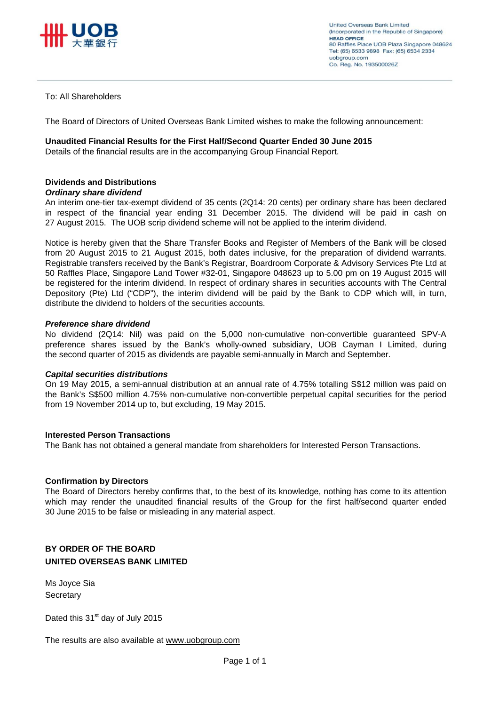

#### To: All Shareholders

The Board of Directors of United Overseas Bank Limited wishes to make the following announcement:

#### **Unaudited Financial Results for the First Half/Second Quarter Ended 30 June 2015**

Details of the financial results are in the accompanying Group Financial Report.

## **Dividends and Distributions**

#### *Ordinary share dividend*

An interim one-tier tax-exempt dividend of 35 cents (2Q14: 20 cents) per ordinary share has been declared in respect of the financial year ending 31 December 2015. The dividend will be paid in cash on 27 August 2015. The UOB scrip dividend scheme will not be applied to the interim dividend.

Notice is hereby given that the Share Transfer Books and Register of Members of the Bank will be closed from 20 August 2015 to 21 August 2015, both dates inclusive, for the preparation of dividend warrants. Registrable transfers received by the Bank's Registrar, Boardroom Corporate & Advisory Services Pte Ltd at 50 Raffles Place, Singapore Land Tower #32-01, Singapore 048623 up to 5.00 pm on 19 August 2015 will be registered for the interim dividend. In respect of ordinary shares in securities accounts with The Central Depository (Pte) Ltd ("CDP"), the interim dividend will be paid by the Bank to CDP which will, in turn, distribute the dividend to holders of the securities accounts.

#### *Preference share dividend*

No dividend (2Q14: Nil) was paid on the 5,000 non-cumulative non-convertible guaranteed SPV-A preference shares issued by the Bank's wholly-owned subsidiary, UOB Cayman I Limited, during the second quarter of 2015 as dividends are payable semi-annually in March and September.

### *Capital securities distributions*

On 19 May 2015, a semi-annual distribution at an annual rate of 4.75% totalling S\$12 million was paid on the Bank's S\$500 million 4.75% non-cumulative non-convertible perpetual capital securities for the period from 19 November 2014 up to, but excluding, 19 May 2015.

#### **Interested Person Transactions**

The Bank has not obtained a general mandate from shareholders for Interested Person Transactions.

#### **Confirmation by Directors**

The Board of Directors hereby confirms that, to the best of its knowledge, nothing has come to its attention which may render the unaudited financial results of the Group for the first half/second quarter ended 30 June 2015 to be false or misleading in any material aspect.

## **BY ORDER OF THE BOARD UNITED OVERSEAS BANK LIMITED**

Ms Joyce Sia **Secretary** 

Dated this  $31<sup>st</sup>$  day of July 2015

The results are also available at www.uobgroup.com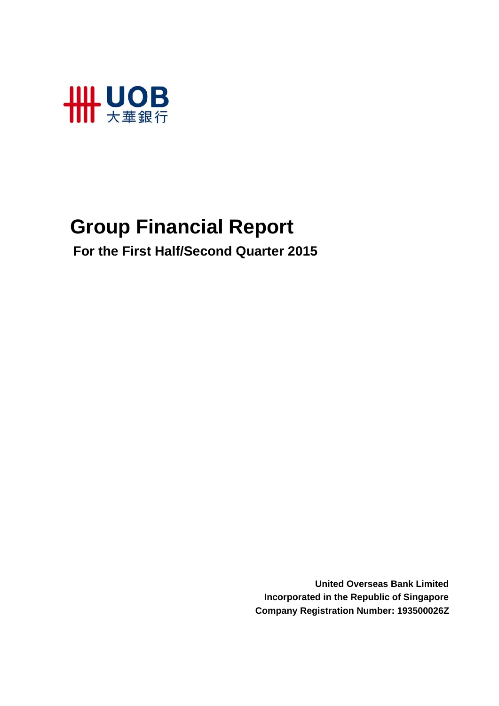

# **Group Financial Report**

 **For the First Half/Second Quarter 2015**

**United Overseas Bank Limited Incorporated in the Republic of Singapore Company Registration Number: 193500026Z**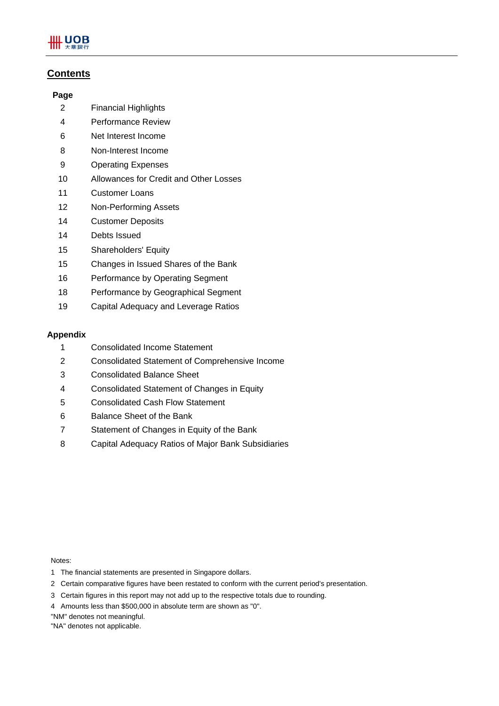

## **Contents**

#### **Page**

- 2 Financial Highlights
- 4 Performance Review
- 6 Net Interest Income
- 8 Non-Interest Income
- 9 Operating Expenses
- 10 Allowances for Credit and Other Losses
- 11 Customer Loans
- 12 Non-Performing Assets
- 14 Customer Deposits
- 14 Debts Issued
- 15 Shareholders' Equity
- 15 Changes in Issued Shares of the Bank
- 16 Performance by Operating Segment
- 18 Performance by Geographical Segment
- 19 Capital Adequacy and Leverage Ratios

### **Appendix**

- 1 Consolidated Income Statement
- 2 Consolidated Statement of Comprehensive Income
- 3 Consolidated Balance Sheet
- 4 Consolidated Statement of Changes in Equity
- 5 Consolidated Cash Flow Statement
- 6 Balance Sheet of the Bank
- 7 Statement of Changes in Equity of the Bank
- 8 Capital Adequacy Ratios of Major Bank Subsidiaries

Notes:

- 1 The financial statements are presented in Singapore dollars.
- 2 Certain comparative figures have been restated to conform with the current period's presentation.
- 3 Certain figures in this report may not add up to the respective totals due to rounding.
- 4 Amounts less than \$500,000 in absolute term are shown as "0".
- "NM" denotes not meaningful.
- "NA" denotes not applicable.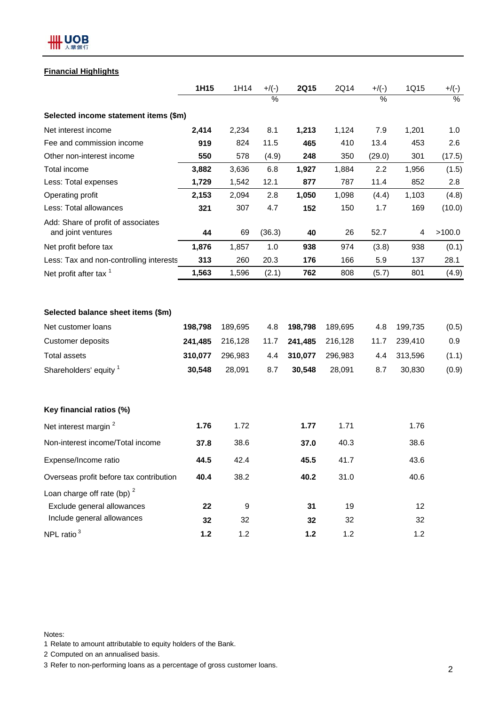

## **Financial Highlights**

|                                                                                           | 1H15                                    | 1H14                                    | $+$ /(-)                  | <b>2Q15</b>                             | 2Q14                                    | $+$ /(-)                  | 1Q15                                    | $+/(-)$                        |
|-------------------------------------------------------------------------------------------|-----------------------------------------|-----------------------------------------|---------------------------|-----------------------------------------|-----------------------------------------|---------------------------|-----------------------------------------|--------------------------------|
|                                                                                           |                                         |                                         | $\%$                      |                                         |                                         | $\%$                      |                                         | $\%$                           |
| Selected income statement items (\$m)                                                     |                                         |                                         |                           |                                         |                                         |                           |                                         |                                |
| Net interest income                                                                       | 2,414                                   | 2,234                                   | 8.1                       | 1,213                                   | 1,124                                   | 7.9                       | 1,201                                   | 1.0                            |
| Fee and commission income                                                                 | 919                                     | 824                                     | 11.5                      | 465                                     | 410                                     | 13.4                      | 453                                     | 2.6                            |
| Other non-interest income                                                                 | 550                                     | 578                                     | (4.9)                     | 248                                     | 350                                     | (29.0)                    | 301                                     | (17.5)                         |
| Total income                                                                              | 3,882                                   | 3,636                                   | 6.8                       | 1,927                                   | 1,884                                   | 2.2                       | 1,956                                   | (1.5)                          |
| Less: Total expenses                                                                      | 1,729                                   | 1,542                                   | 12.1                      | 877                                     | 787                                     | 11.4                      | 852                                     | 2.8                            |
| Operating profit                                                                          | 2,153                                   | 2,094                                   | 2.8                       | 1,050                                   | 1,098                                   | (4.4)                     | 1,103                                   | (4.8)                          |
| Less: Total allowances                                                                    | 321                                     | 307                                     | 4.7                       | 152                                     | 150                                     | 1.7                       | 169                                     | (10.0)                         |
| Add: Share of profit of associates<br>and joint ventures                                  | 44                                      | 69                                      | (36.3)                    | 40                                      | 26                                      | 52.7                      | 4                                       | >100.0                         |
| Net profit before tax                                                                     | 1,876                                   | 1,857                                   | 1.0                       | 938                                     | 974                                     | (3.8)                     | 938                                     | (0.1)                          |
| Less: Tax and non-controlling interests                                                   | 313                                     | 260                                     | 20.3                      | 176                                     | 166                                     | 5.9                       | 137                                     | 28.1                           |
| Net profit after tax 1                                                                    | 1,563                                   | 1,596                                   | (2.1)                     | 762                                     | 808                                     | (5.7)                     | 801                                     | (4.9)                          |
| Net customer loans<br>Customer deposits<br><b>Total assets</b><br>Shareholders' equity 1  | 198,798<br>241,485<br>310,077<br>30,548 | 189,695<br>216,128<br>296,983<br>28,091 | 4.8<br>11.7<br>4.4<br>8.7 | 198,798<br>241,485<br>310,077<br>30,548 | 189,695<br>216,128<br>296,983<br>28,091 | 4.8<br>11.7<br>4.4<br>8.7 | 199,735<br>239,410<br>313,596<br>30,830 | (0.5)<br>0.9<br>(1.1)<br>(0.9) |
| Key financial ratios (%)                                                                  |                                         |                                         |                           |                                         |                                         |                           |                                         |                                |
| Net interest margin <sup>2</sup>                                                          | 1.76                                    | 1.72                                    |                           | 1.77                                    | 1.71                                    |                           | 1.76                                    |                                |
| Non-interest income/Total income                                                          | 37.8                                    | 38.6                                    |                           | 37.0                                    | 40.3                                    |                           | 38.6                                    |                                |
| Expense/Income ratio                                                                      | 44.5                                    | 42.4                                    |                           | 45.5                                    | 41.7                                    |                           | 43.6                                    |                                |
| Overseas profit before tax contribution                                                   | 40.4                                    | 38.2                                    |                           | 40.2                                    | 31.0                                    |                           | 40.6                                    |                                |
| Loan charge off rate (bp) $2$<br>Exclude general allowances<br>Include general allowances | 22<br>32                                | $\boldsymbol{9}$<br>32                  |                           | 31<br>32                                | 19<br>32                                |                           | 12<br>32                                |                                |
| NPL ratio <sup>3</sup>                                                                    | $1.2$                                   | 1.2                                     |                           | $1.2$                                   | 1.2                                     |                           | 1.2                                     |                                |

Notes:

1 Relate to amount attributable to equity holders of the Bank.

2 Computed on an annualised basis.

3 Refer to non-performing loans as a percentage of gross customer loans. 2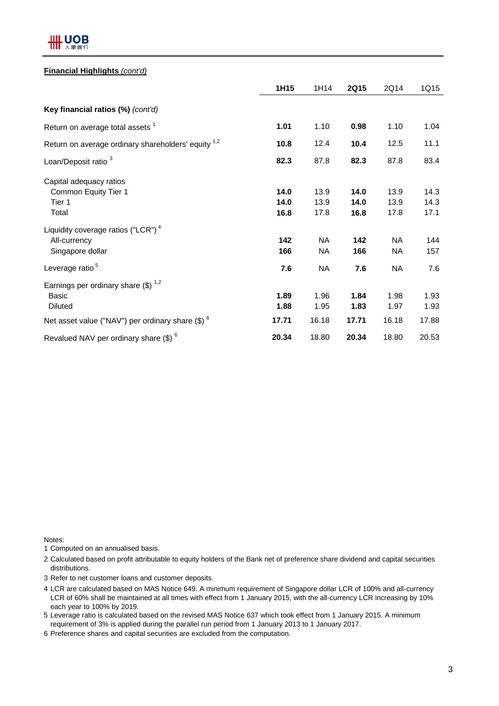

#### **Financial Highlights** *(cont'd)*

|                                                                                    | 1H15                 | 1H14                 | <b>2Q15</b>          | 2Q14                   | 1Q15                 |
|------------------------------------------------------------------------------------|----------------------|----------------------|----------------------|------------------------|----------------------|
| Key financial ratios (%) (cont'd)                                                  |                      |                      |                      |                        |                      |
| Return on average total assets <sup>1</sup>                                        | 1.01                 | 1.10                 | 0.98                 | 1.10                   | 1.04                 |
| Return on average ordinary shareholders' equity <sup>1,2</sup>                     | 10.8                 | 12.4                 | 10.4                 | 12.5                   | 11.1                 |
| Loan/Deposit ratio <sup>3</sup>                                                    | 82.3                 | 87.8                 | 82.3                 | 87.8                   | 83.4                 |
| Capital adequacy ratios<br>Common Equity Tier 1<br>Tier 1<br>Total                 | 14.0<br>14.0<br>16.8 | 13.9<br>13.9<br>17.8 | 14.0<br>14.0<br>16.8 | 13.9<br>13.9<br>17.8   | 14.3<br>14.3<br>17.1 |
| Liquidity coverage ratios ("LCR") <sup>4</sup><br>All-currency<br>Singapore dollar | 142<br>166           | <b>NA</b><br>NA.     | 142<br>166           | <b>NA</b><br><b>NA</b> | 144<br>157           |
| Leverage ratio <sup>5</sup>                                                        | 7.6                  | <b>NA</b>            | 7.6                  | <b>NA</b>              | 7.6                  |
| Earnings per ordinary share $(\$)^{1,2}$<br>Basic<br><b>Diluted</b>                | 1.89<br>1.88         | 1.96<br>1.95         | 1.84<br>1.83         | 1.98<br>1.97           | 1.93<br>1.93         |
| Net asset value ("NAV") per ordinary share $(\$)$ $^6$                             | 17.71                | 16.18                | 17.71                | 16.18                  | 17.88                |
| Revalued NAV per ordinary share $$)^6$                                             | 20.34                | 18.80                | 20.34                | 18.80                  | 20.53                |

Notes:

1 Computed on an annualised basis.

2 Calculated based on profit attributable to equity holders of the Bank net of preference share dividend and capital securities distributions.

3 Refer to net customer loans and customer deposits.

- 4 LCR are calculated based on MAS Notice 649. A minimum requirement of Singapore dollar LCR of 100% and all-currency LCR of 60% shall be maintained at all times with effect from 1 January 2015, with the all-currency LCR increasing by 10% each year to 100% by 2019.
- 5 Leverage ratio is calculated based on the revised MAS Notice 637 which took effect from 1 January 2015. A minimum requirement of 3% is applied during the parallel run period from 1 January 2013 to 1 January 2017.
- 6 Preference shares and capital securities are excluded from the computation.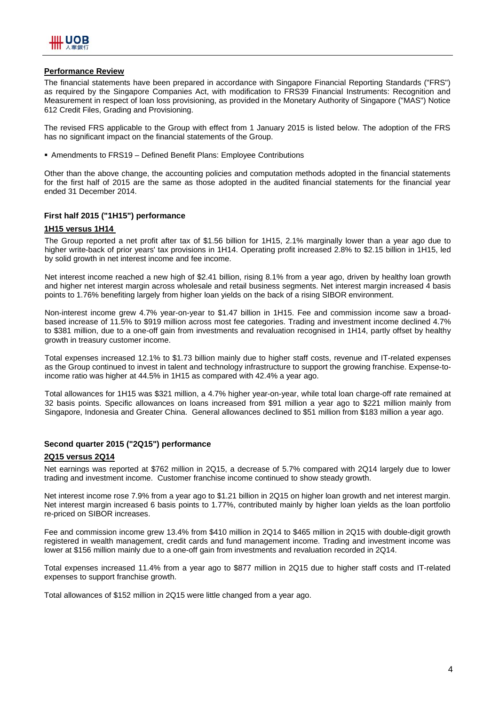

## **Performance Review**

The financial statements have been prepared in accordance with Singapore Financial Reporting Standards ("FRS") as required by the Singapore Companies Act, with modification to FRS39 Financial Instruments: Recognition and Measurement in respect of loan loss provisioning, as provided in the Monetary Authority of Singapore ("MAS") Notice 612 Credit Files, Grading and Provisioning.

The revised FRS applicable to the Group with effect from 1 January 2015 is listed below. The adoption of the FRS has no significant impact on the financial statements of the Group.

Amendments to FRS19 – Defined Benefit Plans: Employee Contributions

Other than the above change, the accounting policies and computation methods adopted in the financial statements for the first half of 2015 are the same as those adopted in the audited financial statements for the financial year ended 31 December 2014.

## **First half 2015 ("1H15") performance**

#### **1H15 versus 1H14**

The Group reported a net profit after tax of \$1.56 billion for 1H15, 2.1% marginally lower than a year ago due to higher write-back of prior years' tax provisions in 1H14. Operating profit increased 2.8% to \$2.15 billion in 1H15, led by solid growth in net interest income and fee income.

Net interest income reached a new high of \$2.41 billion, rising 8.1% from a year ago, driven by healthy loan growth and higher net interest margin across wholesale and retail business segments. Net interest margin increased 4 basis points to 1.76% benefiting largely from higher loan yields on the back of a rising SIBOR environment.

Non-interest income grew 4.7% year-on-year to \$1.47 billion in 1H15. Fee and commission income saw a broadbased increase of 11.5% to \$919 million across most fee categories. Trading and investment income declined 4.7% to \$381 million, due to a one-off gain from investments and revaluation recognised in 1H14, partly offset by healthy growth in treasury customer income.

Total expenses increased 12.1% to \$1.73 billion mainly due to higher staff costs, revenue and IT-related expenses as the Group continued to invest in talent and technology infrastructure to support the growing franchise. Expense-toincome ratio was higher at 44.5% in 1H15 as compared with 42.4% a year ago.

Total allowances for 1H15 was \$321 million, a 4.7% higher year-on-year, while total loan charge-off rate remained at 32 basis points. Specific allowances on loans increased from \$91 million a year ago to \$221 million mainly from Singapore, Indonesia and Greater China. General allowances declined to \$51 million from \$183 million a year ago.

#### **Second quarter 2015 ("2Q15") performance**

#### **2Q15 versus 2Q14**

Net earnings was reported at \$762 million in 2Q15, a decrease of 5.7% compared with 2Q14 largely due to lower trading and investment income. Customer franchise income continued to show steady growth.

Net interest income rose 7.9% from a year ago to \$1.21 billion in 2Q15 on higher loan growth and net interest margin. Net interest margin increased 6 basis points to 1.77%, contributed mainly by higher loan yields as the loan portfolio re-priced on SIBOR increases.

Fee and commission income grew 13.4% from \$410 million in 2Q14 to \$465 million in 2Q15 with double-digit growth registered in wealth management, credit cards and fund management income. Trading and investment income was lower at \$156 million mainly due to a one-off gain from investments and revaluation recorded in 2Q14.

Total expenses increased 11.4% from a year ago to \$877 million in 2Q15 due to higher staff costs and IT-related expenses to support franchise growth.

Total allowances of \$152 million in 2Q15 were little changed from a year ago.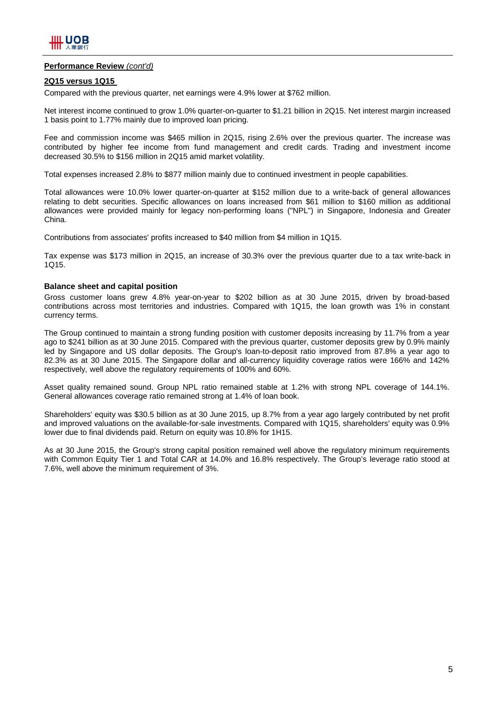

#### **Performance Review** *(cont'd)*

#### **2Q15 versus 1Q15**

Compared with the previous quarter, net earnings were 4.9% lower at \$762 million.

Net interest income continued to grow 1.0% quarter-on-quarter to \$1.21 billion in 2Q15. Net interest margin increased 1 basis point to 1.77% mainly due to improved loan pricing.

Fee and commission income was \$465 million in 2Q15, rising 2.6% over the previous quarter. The increase was contributed by higher fee income from fund management and credit cards. Trading and investment income decreased 30.5% to \$156 million in 2Q15 amid market volatility.

Total expenses increased 2.8% to \$877 million mainly due to continued investment in people capabilities.

Total allowances were 10.0% lower quarter-on-quarter at \$152 million due to a write-back of general allowances relating to debt securities. Specific allowances on loans increased from \$61 million to \$160 million as additional allowances were provided mainly for legacy non-performing loans ("NPL") in Singapore, Indonesia and Greater China.

Contributions from associates' profits increased to \$40 million from \$4 million in 1Q15.

Tax expense was \$173 million in 2Q15, an increase of 30.3% over the previous quarter due to a tax write-back in 1Q15.

#### **Balance sheet and capital position**

Gross customer loans grew 4.8% year-on-year to \$202 billion as at 30 June 2015, driven by broad-based contributions across most territories and industries. Compared with 1Q15, the loan growth was 1% in constant currency terms.

The Group continued to maintain a strong funding position with customer deposits increasing by 11.7% from a year ago to \$241 billion as at 30 June 2015. Compared with the previous quarter, customer deposits grew by 0.9% mainly led by Singapore and US dollar deposits. The Group's loan-to-deposit ratio improved from 87.8% a year ago to 82.3% as at 30 June 2015. The Singapore dollar and all-currency liquidity coverage ratios were 166% and 142% respectively, well above the regulatory requirements of 100% and 60%.

Asset quality remained sound. Group NPL ratio remained stable at 1.2% with strong NPL coverage of 144.1%. General allowances coverage ratio remained strong at 1.4% of loan book.

Shareholders' equity was \$30.5 billion as at 30 June 2015, up 8.7% from a year ago largely contributed by net profit and improved valuations on the available-for-sale investments. Compared with 1Q15, shareholders' equity was 0.9% lower due to final dividends paid. Return on equity was 10.8% for 1H15.

As at 30 June 2015, the Group's strong capital position remained well above the regulatory minimum requirements with Common Equity Tier 1 and Total CAR at 14.0% and 16.8% respectively. The Group's leverage ratio stood at 7.6%, well above the minimum requirement of 3%.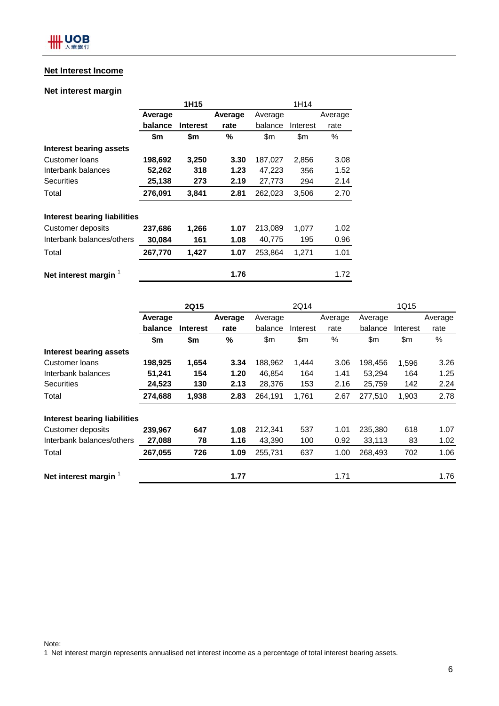## **Net Interest Income**

## **Net interest margin**

|                                  |         | 1H15            |         | 1H14    |          |         |  |
|----------------------------------|---------|-----------------|---------|---------|----------|---------|--|
|                                  | Average |                 | Average | Average |          | Average |  |
|                                  | balance | <b>Interest</b> | rate    | balance | Interest | rate    |  |
|                                  | \$m     | \$m             | %       | \$m     | \$m      | $\%$    |  |
| Interest bearing assets          |         |                 |         |         |          |         |  |
| Customer loans                   | 198,692 | 3,250           | 3.30    | 187,027 | 2,856    | 3.08    |  |
| Interbank balances               | 52,262  | 318             | 1.23    | 47,223  | 356      | 1.52    |  |
| <b>Securities</b>                | 25,138  | 273             | 2.19    | 27,773  | 294      | 2.14    |  |
| Total                            | 276,091 | 3,841           | 2.81    | 262,023 | 3,506    | 2.70    |  |
| Interest bearing liabilities     |         |                 |         |         |          |         |  |
| Customer deposits                | 237,686 | 1,266           | 1.07    | 213,089 | 1,077    | 1.02    |  |
| Interbank balances/others        | 30,084  | 161             | 1.08    | 40,775  | 195      | 0.96    |  |
| Total                            | 267,770 | 1,427           | 1.07    | 253,864 | 1,271    | 1.01    |  |
| Net interest margin <sup>1</sup> |         |                 | 1.76    |         |          | 1.72    |  |

|                              |         | <b>2Q15</b>     |         |         | 2Q14     |         |         | 1Q15     |         |
|------------------------------|---------|-----------------|---------|---------|----------|---------|---------|----------|---------|
|                              | Average |                 | Average | Average |          | Average | Average |          | Average |
|                              | balance | <b>Interest</b> | rate    | balance | Interest | rate    | balance | Interest | rate    |
|                              | \$m     | \$m             | $\%$    | \$m\$   | \$m      | %       | \$m     | \$m      | %       |
| Interest bearing assets      |         |                 |         |         |          |         |         |          |         |
| Customer loans               | 198,925 | 1,654           | 3.34    | 188,962 | 1,444    | 3.06    | 198,456 | 1,596    | 3.26    |
| Interbank balances           | 51,241  | 154             | 1.20    | 46,854  | 164      | 1.41    | 53,294  | 164      | 1.25    |
| <b>Securities</b>            | 24,523  | 130             | 2.13    | 28,376  | 153      | 2.16    | 25,759  | 142      | 2.24    |
| Total                        | 274,688 | 1,938           | 2.83    | 264,191 | 1,761    | 2.67    | 277,510 | 1,903    | 2.78    |
| Interest bearing liabilities |         |                 |         |         |          |         |         |          |         |
| <b>Customer deposits</b>     | 239,967 | 647             | 1.08    | 212,341 | 537      | 1.01    | 235,380 | 618      | 1.07    |
| Interbank balances/others    | 27,088  | 78              | 1.16    | 43,390  | 100      | 0.92    | 33,113  | 83       | 1.02    |
| Total                        | 267,055 | 726             | 1.09    | 255,731 | 637      | 1.00    | 268,493 | 702      | 1.06    |
| Net interest margin          |         |                 | 1.77    |         |          | 1.71    |         |          | 1.76    |

Note:

1 Net interest margin represents annualised net interest income as a percentage of total interest bearing assets.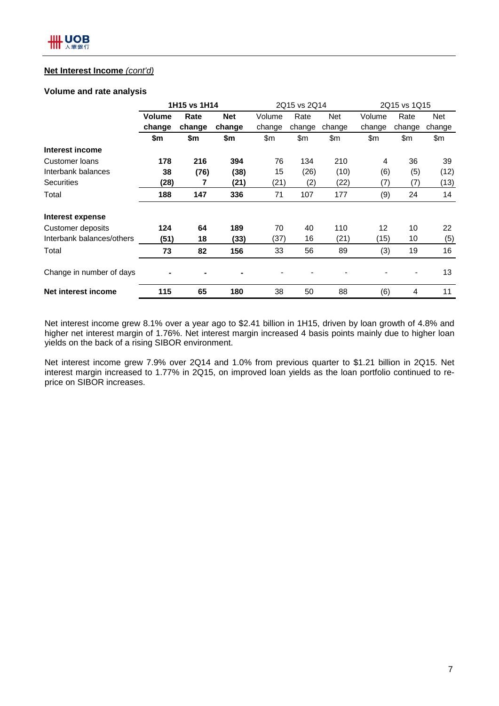## **Net Interest Income** *(cont'd)*

### **Volume and rate analysis**

|                           | 1H15 vs 1H14  |        |            | 2Q15 vs 2Q14 |        |            | 2Q15 vs 1Q15 |        |        |
|---------------------------|---------------|--------|------------|--------------|--------|------------|--------------|--------|--------|
|                           | <b>Volume</b> | Rate   | <b>Net</b> | Volume       | Rate   | <b>Net</b> | Volume       | Rate   | Net    |
|                           | change        | change | change     | change       | change | change     | change       | change | change |
|                           | \$m           | \$m    | \$m        | \$m          | \$m    | \$m        | \$m          | \$m    | \$m    |
| Interest income           |               |        |            |              |        |            |              |        |        |
| Customer loans            | 178           | 216    | 394        | 76           | 134    | 210        | 4            | 36     | 39     |
| Interbank balances        | 38            | (76)   | (38)       | 15           | (26)   | (10)       | (6)          | (5)    | (12)   |
| Securities                | (28)          | 7      | (21)       | (21)         | (2)    | (22)       | (7)          | (7)    | (13)   |
| Total                     | 188           | 147    | 336        | 71           | 107    | 177        | (9)          | 24     | 14     |
| Interest expense          |               |        |            |              |        |            |              |        |        |
| Customer deposits         | 124           | 64     | 189        | 70           | 40     | 110        | 12           | 10     | 22     |
| Interbank balances/others | (51)          | 18     | (33)       | (37)         | 16     | (21)       | (15)         | 10     | (5)    |
| Total                     | 73            | 82     | 156        | 33           | 56     | 89         | (3)          | 19     | 16     |
| Change in number of days  |               |        |            |              |        |            |              |        | 13     |
| Net interest income       | 115           | 65     | 180        | 38           | 50     | 88         | (6)          | 4      | 11     |

Net interest income grew 8.1% over a year ago to \$2.41 billion in 1H15, driven by loan growth of 4.8% and higher net interest margin of 1.76%. Net interest margin increased 4 basis points mainly due to higher loan yields on the back of a rising SIBOR environment.

Net interest income grew 7.9% over 2Q14 and 1.0% from previous quarter to \$1.21 billion in 2Q15. Net interest margin increased to 1.77% in 2Q15, on improved loan yields as the loan portfolio continued to reprice on SIBOR increases.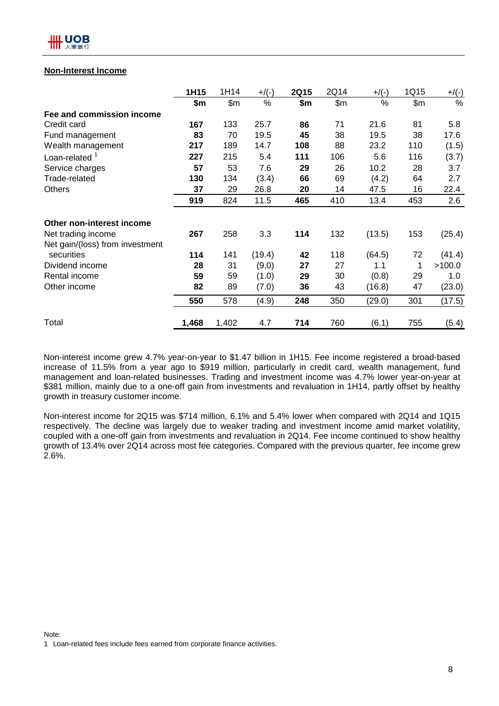## **Non-Interest Income**

|                                 | 1H15  | 1H14  | $+$ /(-) | <b>2Q15</b> | 2Q14  | $+$ /(-) | 1Q15  | $+$ /(-) |
|---------------------------------|-------|-------|----------|-------------|-------|----------|-------|----------|
|                                 | \$m   | \$m\$ | %        | \$m\$       | \$m\$ | %        | \$m\$ | %        |
| Fee and commission income       |       |       |          |             |       |          |       |          |
| Credit card                     | 167   | 133   | 25.7     | 86          | 71    | 21.6     | 81    | 5.8      |
| Fund management                 | 83    | 70    | 19.5     | 45          | 38    | 19.5     | 38    | 17.6     |
| Wealth management               | 217   | 189   | 14.7     | 108         | 88    | 23.2     | 110   | (1.5)    |
| Loan-related $1$                | 227   | 215   | 5.4      | 111         | 106   | 5.6      | 116   | (3.7)    |
| Service charges                 | 57    | 53    | 7.6      | 29          | 26    | 10.2     | 28    | 3.7      |
| Trade-related                   | 130   | 134   | (3.4)    | 66          | 69    | (4.2)    | 64    | 2.7      |
| <b>Others</b>                   | 37    | 29    | 26.8     | 20          | 14    | 47.5     | 16    | 22.4     |
|                                 | 919   | 824   | 11.5     | 465         | 410   | 13.4     | 453   | 2.6      |
| Other non-interest income       |       |       |          |             |       |          |       |          |
| Net trading income              | 267   | 258   | 3.3      | 114         | 132   | (13.5)   | 153   | (25.4)   |
| Net gain/(loss) from investment |       |       |          |             |       |          |       |          |
| securities                      | 114   | 141   | (19.4)   | 42          | 118   | (64.5)   | 72    | (41.4)   |
| Dividend income                 | 28    | 31    | (9.0)    | 27          | 27    | 1.1      | 1     | >100.0   |
| Rental income                   | 59    | 59    | (1.0)    | 29          | 30    | (0.8)    | 29    | 1.0      |
| Other income                    | 82    | 89    | (7.0)    | 36          | 43    | (16.8)   | 47    | (23.0)   |
|                                 | 550   | 578   | (4.9)    | 248         | 350   | (29.0)   | 301   | (17.5)   |
| Total                           | 1,468 | 1,402 | 4.7      | 714         | 760   | (6.1)    | 755   | (5.4)    |

Non-interest income grew 4.7% year-on-year to \$1.47 billion in 1H15. Fee income registered a broad-based increase of 11.5% from a year ago to \$919 million, particularly in credit card, wealth management, fund management and loan-related businesses. Trading and investment income was 4.7% lower year-on-year at \$381 million, mainly due to a one-off gain from investments and revaluation in 1H14, partly offset by healthy growth in treasury customer income.

Non-interest income for 2Q15 was \$714 million, 6.1% and 5.4% lower when compared with 2Q14 and 1Q15 respectively. The decline was largely due to weaker trading and investment income amid market volatility, coupled with a one-off gain from investments and revaluation in 2Q14. Fee income continued to show healthy growth of 13.4% over 2Q14 across most fee categories. Compared with the previous quarter, fee income grew 2.6%.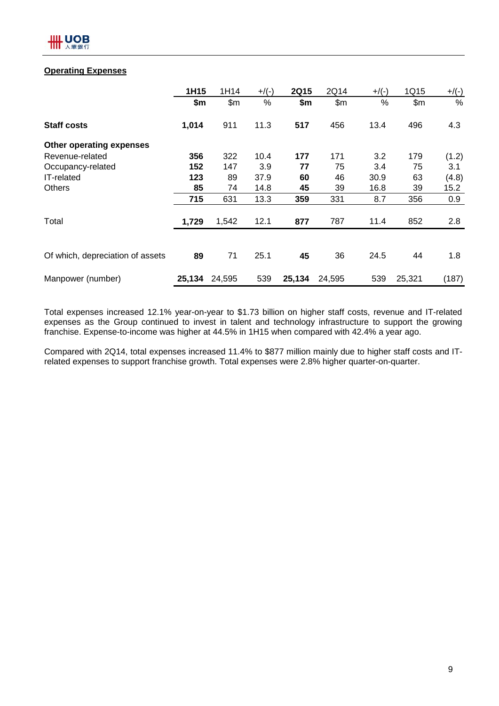## **Operating Expenses**

|                                  | 1H15   | 1H14   | $+$ /(-) | <b>2Q15</b> | 2Q14   | $+$ /(-) | 1Q15   | $+/(-)$ |
|----------------------------------|--------|--------|----------|-------------|--------|----------|--------|---------|
|                                  | \$m\$  | \$m    | %        | \$m         | \$m\$  | $\%$     | \$m    | $\%$    |
| <b>Staff costs</b>               | 1,014  | 911    | 11.3     | 517         | 456    | 13.4     | 496    | 4.3     |
| Other operating expenses         |        |        |          |             |        |          |        |         |
| Revenue-related                  | 356    | 322    | 10.4     | 177         | 171    | 3.2      | 179    | (1.2)   |
| Occupancy-related                | 152    | 147    | 3.9      | 77          | 75     | 3.4      | 75     | 3.1     |
| <b>IT-related</b>                | 123    | 89     | 37.9     | 60          | 46     | 30.9     | 63     | (4.8)   |
| <b>Others</b>                    | 85     | 74     | 14.8     | 45          | 39     | 16.8     | 39     | 15.2    |
|                                  | 715    | 631    | 13.3     | 359         | 331    | 8.7      | 356    | 0.9     |
| Total                            | 1,729  | 1,542  | 12.1     | 877         | 787    | 11.4     | 852    | 2.8     |
|                                  |        |        |          |             |        |          |        |         |
| Of which, depreciation of assets | 89     | 71     | 25.1     | 45          | 36     | 24.5     | 44     | 1.8     |
| Manpower (number)                | 25,134 | 24,595 | 539      | 25,134      | 24,595 | 539      | 25,321 | (187)   |

Total expenses increased 12.1% year-on-year to \$1.73 billion on higher staff costs, revenue and IT-related expenses as the Group continued to invest in talent and technology infrastructure to support the growing franchise. Expense-to-income was higher at 44.5% in 1H15 when compared with 42.4% a year ago.

Compared with 2Q14, total expenses increased 11.4% to \$877 million mainly due to higher staff costs and ITrelated expenses to support franchise growth. Total expenses were 2.8% higher quarter-on-quarter.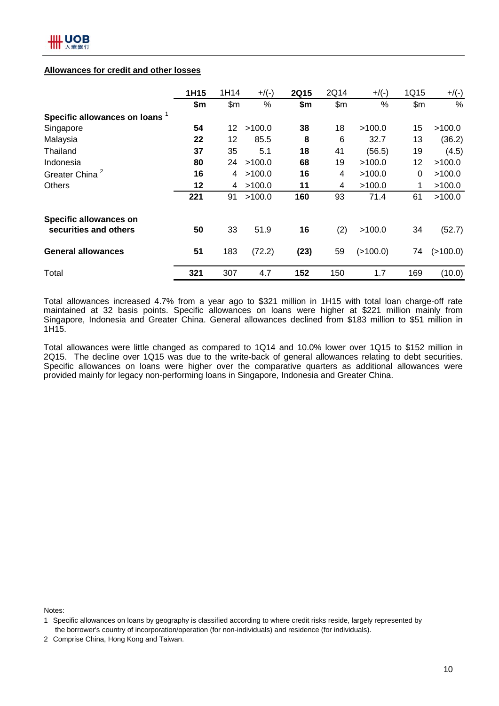## **Allowances for credit and other losses**

|                                | 1H15 | 1H14 | $+$ /(-) | <b>2Q15</b> | 2Q14  | $+$ /(-) | 1Q15            | $+/(-)$  |
|--------------------------------|------|------|----------|-------------|-------|----------|-----------------|----------|
|                                | \$m  | \$m  | %        | \$m\$       | \$m\$ | %        | \$m             | $\%$     |
| Specific allowances on loans 1 |      |      |          |             |       |          |                 |          |
| Singapore                      | 54   | 12   | >100.0   | 38          | 18    | >100.0   | 15              | >100.0   |
| Malaysia                       | 22   | 12   | 85.5     | 8           | 6     | 32.7     | 13              | (36.2)   |
| Thailand                       | 37   | 35   | 5.1      | 18          | 41    | (56.5)   | 19              | (4.5)    |
| Indonesia                      | 80   | 24   | >100.0   | 68          | 19    | >100.0   | 12 <sub>2</sub> | >100.0   |
| Greater China <sup>2</sup>     | 16   | 4    | >100.0   | 16          | 4     | >100.0   | 0               | >100.0   |
| <b>Others</b>                  | 12   | 4    | >100.0   | 11          | 4     | >100.0   | 1               | >100.0   |
|                                | 221  | 91   | >100.0   | 160         | 93    | 71.4     | 61              | >100.0   |
| <b>Specific allowances on</b>  |      |      |          |             |       |          |                 |          |
| securities and others          | 50   | 33   | 51.9     | 16          | (2)   | >100.0   | 34              | (52.7)   |
| <b>General allowances</b>      | 51   | 183  | (72.2)   | (23)        | 59    | (>100.0) | 74              | (>100.0) |
| Total                          | 321  | 307  | 4.7      | 152         | 150   | 1.7      | 169             | (10.0)   |

Total allowances increased 4.7% from a year ago to \$321 million in 1H15 with total loan charge-off rate maintained at 32 basis points. Specific allowances on loans were higher at \$221 million mainly from Singapore, Indonesia and Greater China. General allowances declined from \$183 million to \$51 million in 1H15.

Total allowances were little changed as compared to 1Q14 and 10.0% lower over 1Q15 to \$152 million in 2Q15. The decline over 1Q15 was due to the write-back of general allowances relating to debt securities. Specific allowances on loans were higher over the comparative quarters as additional allowances were provided mainly for legacy non-performing loans in Singapore, Indonesia and Greater China.

Notes:

<sup>1</sup> Specific allowances on loans by geography is classified according to where credit risks reside, largely represented by the borrower's country of incorporation/operation (for non-individuals) and residence (for individuals).

<sup>2</sup> Comprise China, Hong Kong and Taiwan.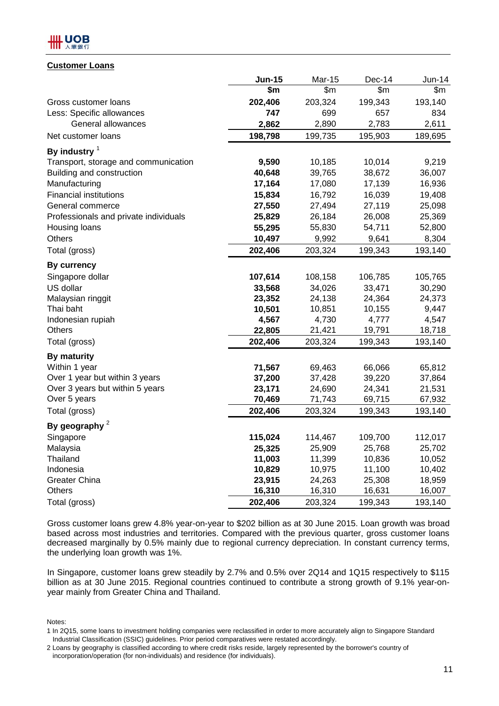## .UOB

## **Customer Loans**

|                                       | <b>Jun-15</b> | Mar-15  | Dec-14  | $Jun-14$ |
|---------------------------------------|---------------|---------|---------|----------|
|                                       | \$m           | \$m\$   | \$m\$   | \$m      |
| Gross customer loans                  | 202,406       | 203,324 | 199,343 | 193,140  |
| Less: Specific allowances             | 747           | 699     | 657     | 834      |
| General allowances                    | 2,862         | 2,890   | 2,783   | 2,611    |
| Net customer loans                    | 198,798       | 199,735 | 195,903 | 189,695  |
| By industry $1$                       |               |         |         |          |
| Transport, storage and communication  | 9,590         | 10,185  | 10,014  | 9,219    |
| Building and construction             | 40,648        | 39,765  | 38,672  | 36,007   |
| Manufacturing                         | 17,164        | 17,080  | 17,139  | 16,936   |
| <b>Financial institutions</b>         | 15,834        | 16,792  | 16,039  | 19,408   |
| General commerce                      | 27,550        | 27,494  | 27,119  | 25,098   |
| Professionals and private individuals | 25,829        | 26,184  | 26,008  | 25,369   |
| Housing loans                         | 55,295        | 55,830  | 54,711  | 52,800   |
| <b>Others</b>                         | 10,497        | 9,992   | 9,641   | 8,304    |
| Total (gross)                         | 202,406       | 203,324 | 199,343 | 193,140  |
| <b>By currency</b>                    |               |         |         |          |
| Singapore dollar                      | 107,614       | 108,158 | 106,785 | 105,765  |
| US dollar                             | 33,568        | 34,026  | 33,471  | 30,290   |
| Malaysian ringgit                     | 23,352        | 24,138  | 24,364  | 24,373   |
| Thai baht                             | 10,501        | 10,851  | 10,155  | 9,447    |
| Indonesian rupiah                     | 4,567         | 4,730   | 4,777   | 4,547    |
| Others                                | 22,805        | 21,421  | 19,791  | 18,718   |
| Total (gross)                         | 202,406       | 203,324 | 199,343 | 193,140  |
| <b>By maturity</b>                    |               |         |         |          |
| Within 1 year                         | 71,567        | 69,463  | 66,066  | 65,812   |
| Over 1 year but within 3 years        | 37,200        | 37,428  | 39,220  | 37,864   |
| Over 3 years but within 5 years       | 23,171        | 24,690  | 24,341  | 21,531   |
| Over 5 years                          | 70,469        | 71,743  | 69,715  | 67,932   |
| Total (gross)                         | 202,406       | 203,324 | 199,343 | 193,140  |
| By geography $2$                      |               |         |         |          |
| Singapore                             | 115,024       | 114,467 | 109,700 | 112,017  |
| Malaysia                              | 25,325        | 25,909  | 25,768  | 25,702   |
| Thailand                              | 11,003        | 11,399  | 10,836  | 10,052   |
| Indonesia                             | 10,829        | 10,975  | 11,100  | 10,402   |
| <b>Greater China</b>                  | 23,915        | 24,263  | 25,308  | 18,959   |
| <b>Others</b>                         | 16,310        | 16,310  | 16,631  | 16,007   |
| Total (gross)                         | 202,406       | 203,324 | 199,343 | 193,140  |

Gross customer loans grew 4.8% year-on-year to \$202 billion as at 30 June 2015. Loan growth was broad based across most industries and territories. Compared with the previous quarter, gross customer loans decreased marginally by 0.5% mainly due to regional currency depreciation. In constant currency terms, the underlying loan growth was 1%.

In Singapore, customer loans grew steadily by 2.7% and 0.5% over 2Q14 and 1Q15 respectively to \$115 billion as at 30 June 2015. Regional countries continued to contribute a strong growth of 9.1% year-onyear mainly from Greater China and Thailand.

Notes:

<sup>1</sup> In 2Q15, some loans to investment holding companies were reclassified in order to more accurately align to Singapore Standard Industrial Classification (SSIC) guidelines. Prior period comparatives were restated accordingly.

<sup>2</sup> Loans by geography is classified according to where credit risks reside, largely represented by the borrower's country of incorporation/operation (for non-individuals) and residence (for individuals).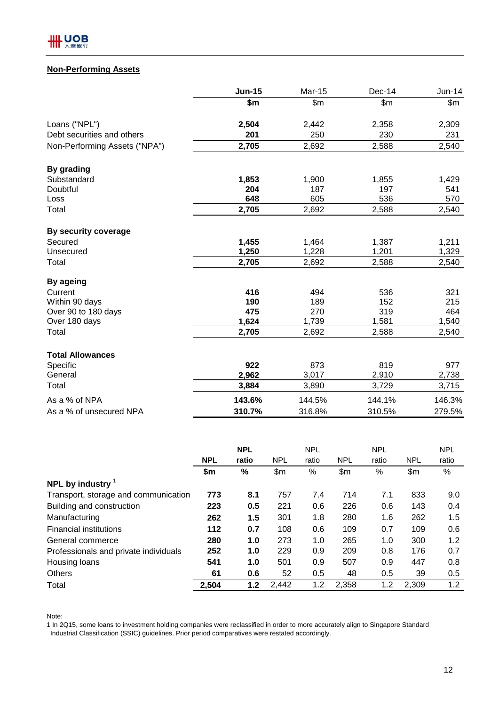

## **Non-Performing Assets**

|                               | <b>Jun-15</b> | Mar-15 | Dec-14 | Jun-14 |
|-------------------------------|---------------|--------|--------|--------|
|                               | \$m           | \$m\$  | \$m\$  | \$m\$  |
| Loans ("NPL")                 | 2,504         | 2,442  | 2,358  | 2,309  |
| Debt securities and others    | 201           | 250    | 230    | 231    |
| Non-Performing Assets ("NPA") | 2,705         | 2,692  | 2,588  | 2,540  |
| By grading                    |               |        |        |        |
| Substandard                   | 1,853         | 1,900  | 1,855  | 1,429  |
| Doubtful                      | 204           | 187    | 197    | 541    |
| Loss                          | 648           | 605    | 536    | 570    |
| Total                         | 2,705         | 2,692  | 2,588  | 2,540  |
| By security coverage          |               |        |        |        |
| Secured                       | 1,455         | 1,464  | 1,387  | 1,211  |
| Unsecured                     | 1,250         | 1,228  | 1,201  | 1,329  |
| Total                         | 2,705         | 2,692  | 2,588  | 2,540  |
| <b>By ageing</b>              |               |        |        |        |
| Current                       | 416           | 494    | 536    | 321    |
| Within 90 days                | 190           | 189    | 152    | 215    |
| Over 90 to 180 days           | 475           | 270    | 319    | 464    |
| Over 180 days                 | 1,624         | 1,739  | 1,581  | 1,540  |
| Total                         | 2,705         | 2,692  | 2,588  | 2,540  |
| <b>Total Allowances</b>       |               |        |        |        |
| Specific                      | 922           | 873    | 819    | 977    |
| General                       | 2,962         | 3,017  | 2,910  | 2,738  |
| Total                         | 3,884         | 3,890  | 3,729  | 3,715  |
| As a % of NPA                 | 143.6%        | 144.5% | 144.1% | 146.3% |
| As a % of unsecured NPA       | 310.7%        | 316.8% | 310.5% | 279.5% |

|                                       |            | <b>NPL</b> |            | <b>NPL</b> |            | <b>NPL</b> |            | <b>NPL</b> |
|---------------------------------------|------------|------------|------------|------------|------------|------------|------------|------------|
|                                       | <b>NPL</b> | ratio      | <b>NPL</b> | ratio      | <b>NPL</b> | ratio      | <b>NPL</b> | ratio      |
|                                       | \$m\$      | %          | \$m        | %          | \$m\$      | %          | \$m\$      | $\%$       |
| NPL by industry $1$                   |            |            |            |            |            |            |            |            |
| Transport, storage and communication  | 773        | 8.1        | 757        | 7.4        | 714        | 7.1        | 833        | 9.0        |
| Building and construction             | 223        | 0.5        | 221        | 0.6        | 226        | 0.6        | 143        | 0.4        |
| Manufacturing                         | 262        | 1.5        | 301        | 1.8        | 280        | 1.6        | 262        | 1.5        |
| <b>Financial institutions</b>         | 112        | 0.7        | 108        | 0.6        | 109        | 0.7        | 109        | 0.6        |
| General commerce                      | 280        | 1.0        | 273        | 1.0        | 265        | 1.0        | 300        | 1.2        |
| Professionals and private individuals | 252        | 1.0        | 229        | 0.9        | 209        | 0.8        | 176        | 0.7        |
| Housing loans                         | 541        | 1.0        | 501        | 0.9        | 507        | 0.9        | 447        | 0.8        |
| <b>Others</b>                         | 61         | 0.6        | 52         | 0.5        | 48         | 0.5        | 39         | 0.5        |
| Total                                 | 2,504      | 1.2        | 2,442      | 1.2        | 2,358      | 1.2        | 2,309      | 1.2        |

Note:

1 In 2Q15, some loans to investment holding companies were reclassified in order to more accurately align to Singapore Standard Industrial Classification (SSIC) guidelines. Prior period comparatives were restated accordingly.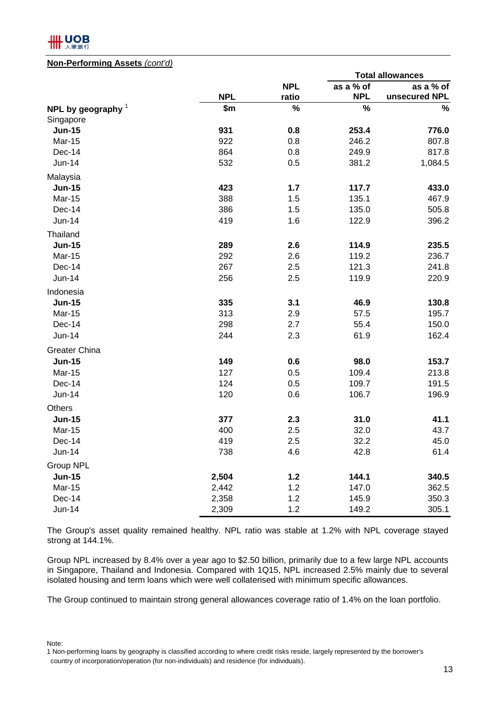

#### **Non-Performing Assets** *(cont'd)*

|                      |            |            | <b>Total allowances</b> |               |  |
|----------------------|------------|------------|-------------------------|---------------|--|
|                      |            | <b>NPL</b> | as a % of               | as a % of     |  |
|                      | <b>NPL</b> | ratio      | <b>NPL</b>              | unsecured NPL |  |
| NPL by geography $1$ | \$m        | $\%$       | $\%$                    | $\%$          |  |
| Singapore            |            |            |                         |               |  |
| <b>Jun-15</b>        | 931        | 0.8        | 253.4                   | 776.0         |  |
| Mar-15               | 922        | 0.8        | 246.2                   | 807.8         |  |
| Dec-14               | 864        | 0.8        | 249.9                   | 817.8         |  |
| Jun-14               | 532        | 0.5        | 381.2                   | 1,084.5       |  |
| Malaysia             |            |            |                         |               |  |
| <b>Jun-15</b>        | 423        | 1.7        | 117.7                   | 433.0         |  |
| Mar-15               | 388        | 1.5        | 135.1                   | 467.9         |  |
| Dec-14               | 386        | 1.5        | 135.0                   | 505.8         |  |
| Jun-14               | 419        | 1.6        | 122.9                   | 396.2         |  |
| Thailand             |            |            |                         |               |  |
| <b>Jun-15</b>        | 289        | 2.6        | 114.9                   | 235.5         |  |
| Mar-15               | 292        | 2.6        | 119.2                   | 236.7         |  |
| Dec-14               | 267        | 2.5        | 121.3                   | 241.8         |  |
| <b>Jun-14</b>        | 256        | 2.5        | 119.9                   | 220.9         |  |
| Indonesia            |            |            |                         |               |  |
| <b>Jun-15</b>        | 335        | 3.1        | 46.9                    | 130.8         |  |
| <b>Mar-15</b>        | 313        | 2.9        | 57.5                    | 195.7         |  |
| Dec-14               | 298        | 2.7        | 55.4                    | 150.0         |  |
| Jun-14               | 244        | 2.3        | 61.9                    | 162.4         |  |
| <b>Greater China</b> |            |            |                         |               |  |
| <b>Jun-15</b>        | 149        | 0.6        | 98.0                    | 153.7         |  |
| Mar-15               | 127        | 0.5        | 109.4                   | 213.8         |  |
| Dec-14               | 124        | 0.5        | 109.7                   | 191.5         |  |
| Jun-14               | 120        | 0.6        | 106.7                   | 196.9         |  |
| Others               |            |            |                         |               |  |
| <b>Jun-15</b>        | 377        | 2.3        | 31.0                    | 41.1          |  |
| <b>Mar-15</b>        | 400        | 2.5        | 32.0                    | 43.7          |  |
| Dec-14               | 419        | 2.5        | 32.2                    | 45.0          |  |
| Jun-14               | 738        | 4.6        | 42.8                    | 61.4          |  |
| <b>Group NPL</b>     |            |            |                         |               |  |
| <b>Jun-15</b>        | 2,504      | 1.2        | 144.1                   | 340.5         |  |
| <b>Mar-15</b>        | 2,442      | 1.2        | 147.0                   | 362.5         |  |
| Dec-14               | 2,358      | 1.2        | 145.9                   | 350.3         |  |
| Jun-14               | 2,309      | 1.2        | 149.2                   | 305.1         |  |

The Group's asset quality remained healthy. NPL ratio was stable at 1.2% with NPL coverage stayed strong at 144.1%.

Group NPL increased by 8.4% over a year ago to \$2.50 billion, primarily due to a few large NPL accounts in Singapore, Thailand and Indonesia. Compared with 1Q15, NPL increased 2.5% mainly due to several isolated housing and term loans which were well collaterised with minimum specific allowances.

The Group continued to maintain strong general allowances coverage ratio of 1.4% on the loan portfolio.

Note:

<sup>1</sup> Non-performing loans by geography is classified according to where credit risks reside, largely represented by the borrower's country of incorporation/operation (for non-individuals) and residence (for individuals).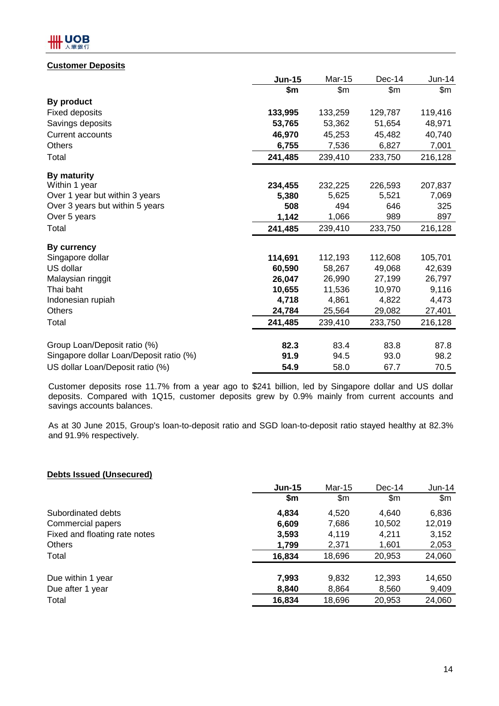## **HH UOB**

## **Customer Deposits**

|                                         | <b>Jun-15</b> | <b>Mar-15</b> | Dec-14  | $Jun-14$ |
|-----------------------------------------|---------------|---------------|---------|----------|
|                                         | \$m           | \$m           | \$m     | \$m      |
| By product                              |               |               |         |          |
| <b>Fixed deposits</b>                   | 133,995       | 133,259       | 129,787 | 119,416  |
| Savings deposits                        | 53,765        | 53,362        | 51,654  | 48,971   |
| <b>Current accounts</b>                 | 46,970        | 45,253        | 45,482  | 40,740   |
| <b>Others</b>                           | 6,755         | 7,536         | 6,827   | 7,001    |
| Total                                   | 241,485       | 239,410       | 233,750 | 216,128  |
| <b>By maturity</b>                      |               |               |         |          |
| Within 1 year                           | 234,455       | 232,225       | 226,593 | 207,837  |
| Over 1 year but within 3 years          | 5,380         | 5,625         | 5,521   | 7,069    |
| Over 3 years but within 5 years         | 508           | 494           | 646     | 325      |
| Over 5 years                            | 1,142         | 1,066         | 989     | 897      |
| Total                                   | 241,485       | 239,410       | 233,750 | 216,128  |
| By currency                             |               |               |         |          |
| Singapore dollar                        | 114,691       | 112,193       | 112,608 | 105,701  |
| US dollar                               | 60,590        | 58,267        | 49,068  | 42,639   |
| Malaysian ringgit                       | 26,047        | 26,990        | 27,199  | 26,797   |
| Thai baht                               | 10,655        | 11,536        | 10,970  | 9,116    |
| Indonesian rupiah                       | 4,718         | 4,861         | 4,822   | 4,473    |
| <b>Others</b>                           | 24,784        | 25,564        | 29,082  | 27,401   |
| Total                                   | 241,485       | 239,410       | 233,750 | 216,128  |
| Group Loan/Deposit ratio (%)            | 82.3          | 83.4          | 83.8    | 87.8     |
| Singapore dollar Loan/Deposit ratio (%) | 91.9          | 94.5          | 93.0    | 98.2     |
|                                         |               |               |         |          |
| US dollar Loan/Deposit ratio (%)        | 54.9          | 58.0          | 67.7    | 70.5     |

Customer deposits rose 11.7% from a year ago to \$241 billion, led by Singapore dollar and US dollar deposits. Compared with 1Q15, customer deposits grew by 0.9% mainly from current accounts and savings accounts balances.

As at 30 June 2015, Group's loan-to-deposit ratio and SGD loan-to-deposit ratio stayed healthy at 82.3% and 91.9% respectively.

## **Debts Issued (Unsecured)**

|                               | <b>Jun-15</b> | <b>Mar-15</b> | $Dec-14$ | $Jun-14$ |
|-------------------------------|---------------|---------------|----------|----------|
|                               | \$m           | \$m           | \$m      | \$m      |
| Subordinated debts            | 4,834         | 4.520         | 4.640    | 6,836    |
| Commercial papers             | 6,609         | 7,686         | 10,502   | 12,019   |
| Fixed and floating rate notes | 3,593         | 4,119         | 4,211    | 3,152    |
| <b>Others</b>                 | 1,799         | 2,371         | 1,601    | 2,053    |
| Total                         | 16,834        | 18,696        | 20,953   | 24,060   |
|                               |               |               |          |          |
| Due within 1 year             | 7,993         | 9,832         | 12,393   | 14,650   |
| Due after 1 year              | 8,840         | 8,864         | 8,560    | 9,409    |
| Total                         | 16,834        | 18,696        | 20,953   | 24,060   |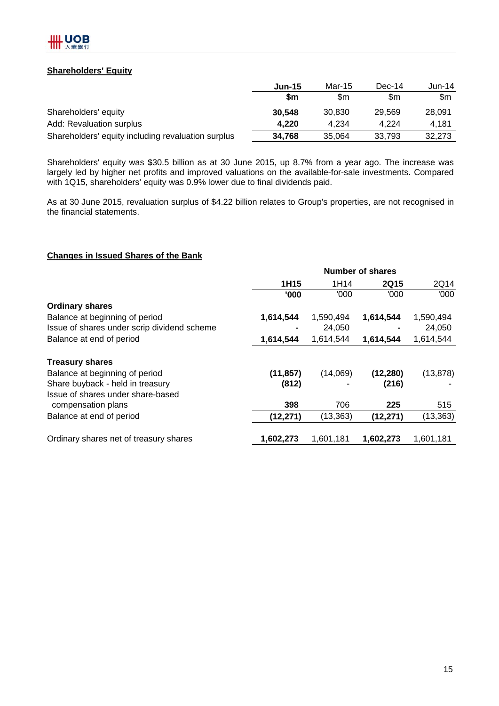## **Shareholders' Equity**

|                                                    | <b>Jun-15</b> | Mar-15 | $Dec-14$ | Jun-14 |
|----------------------------------------------------|---------------|--------|----------|--------|
|                                                    | \$m           | \$m    | \$m      | \$m    |
| Shareholders' equity                               | 30,548        | 30.830 | 29.569   | 28,091 |
| Add: Revaluation surplus                           | 4.220         | 4.234  | 4.224    | 4.181  |
| Shareholders' equity including revaluation surplus | 34,768        | 35.064 | 33.793   | 32.273 |

Shareholders' equity was \$30.5 billion as at 30 June 2015, up 8.7% from a year ago. The increase was largely led by higher net profits and improved valuations on the available-for-sale investments. Compared with 1Q15, shareholders' equity was 0.9% lower due to final dividends paid.

As at 30 June 2015, revaluation surplus of \$4.22 billion relates to Group's properties, are not recognised in the financial statements.

## **Changes in Issued Shares of the Bank**

|                                             | <b>Number of shares</b> |           |             |           |  |  |
|---------------------------------------------|-------------------------|-----------|-------------|-----------|--|--|
|                                             | 1H15                    | 1H14      | <b>2Q15</b> | 2Q14      |  |  |
|                                             | '000                    | '000      | '000        | '000      |  |  |
| <b>Ordinary shares</b>                      |                         |           |             |           |  |  |
| Balance at beginning of period              | 1,614,544               | 1,590,494 | 1,614,544   | 1,590,494 |  |  |
| Issue of shares under scrip dividend scheme |                         | 24,050    |             | 24,050    |  |  |
| Balance at end of period                    | 1,614,544               | 1,614,544 | 1,614,544   | 1,614,544 |  |  |
| <b>Treasury shares</b>                      |                         |           |             |           |  |  |
| Balance at beginning of period              | (11, 857)               | (14,069)  | (12, 280)   | (13, 878) |  |  |
| Share buyback - held in treasury            | (812)                   |           | (216)       |           |  |  |
| Issue of shares under share-based           |                         |           |             |           |  |  |
| compensation plans                          | 398                     | 706       | 225         | 515       |  |  |
| Balance at end of period                    | (12, 271)               | (13, 363) | (12, 271)   | (13, 363) |  |  |
|                                             |                         |           |             |           |  |  |
| Ordinary shares net of treasury shares      | 1,602,273               | 1,601,181 | 1,602,273   | 1,601,181 |  |  |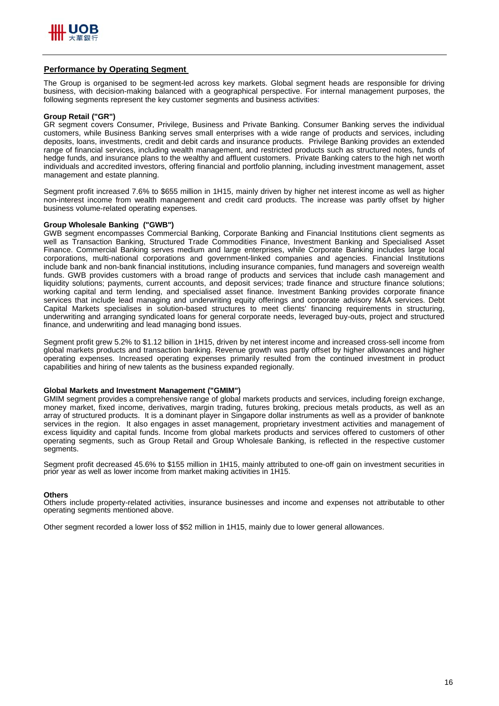

#### **Performance by Operating Segment**

The Group is organised to be segment-led across key markets. Global segment heads are responsible for driving business, with decision-making balanced with a geographical perspective. For internal management purposes, the following segments represent the key customer segments and business activities:

#### **Group Retail ("GR")**

GR segment covers Consumer, Privilege, Business and Private Banking. Consumer Banking serves the individual customers, while Business Banking serves small enterprises with a wide range of products and services, including deposits, loans, investments, credit and debit cards and insurance products. Privilege Banking provides an extended range of financial services, including wealth management, and restricted products such as structured notes, funds of hedge funds, and insurance plans to the wealthy and affluent customers. Private Banking caters to the high net worth individuals and accredited investors, offering financial and portfolio planning, including investment management, asset management and estate planning.

Segment profit increased 7.6% to \$655 million in 1H15, mainly driven by higher net interest income as well as higher non-interest income from wealth management and credit card products. The increase was partly offset by higher business volume-related operating expenses.

#### **Group Wholesale Banking ("GWB")**

GWB segment encompasses Commercial Banking, Corporate Banking and Financial Institutions client segments as well as Transaction Banking, Structured Trade Commodities Finance, Investment Banking and Specialised Asset Finance. Commercial Banking serves medium and large enterprises, while Corporate Banking includes large local corporations, multi-national corporations and government-linked companies and agencies. Financial Institutions include bank and non-bank financial institutions, including insurance companies, fund managers and sovereign wealth funds. GWB provides customers with a broad range of products and services that include cash management and liquidity solutions; payments, current accounts, and deposit services; trade finance and structure finance solutions; working capital and term lending, and specialised asset finance. Investment Banking provides corporate finance services that include lead managing and underwriting equity offerings and corporate advisory M&A services. Debt Capital Markets specialises in solution-based structures to meet clients' financing requirements in structuring, underwriting and arranging syndicated loans for general corporate needs, leveraged buy-outs, project and structured finance, and underwriting and lead managing bond issues.

Segment profit grew 5.2% to \$1.12 billion in 1H15, driven by net interest income and increased cross-sell income from global markets products and transaction banking. Revenue growth was partly offset by higher allowances and higher operating expenses. Increased operating expenses primarily resulted from the continued investment in product capabilities and hiring of new talents as the business expanded regionally.

#### **Global Markets and Investment Management ("GMIM")**

GMIM segment provides a comprehensive range of global markets products and services, including foreign exchange, money market, fixed income, derivatives, margin trading, futures broking, precious metals products, as well as an array of structured products. It is a dominant player in Singapore dollar instruments as well as a provider of banknote services in the region. It also engages in asset management, proprietary investment activities and management of excess liquidity and capital funds. Income from global markets products and services offered to customers of other operating segments, such as Group Retail and Group Wholesale Banking, is reflected in the respective customer segments.

Segment profit decreased 45.6% to \$155 million in 1H15, mainly attributed to one-off gain on investment securities in prior year as well as lower income from market making activities in 1H15.

#### **Others**

Others include property-related activities, insurance businesses and income and expenses not attributable to other operating segments mentioned above.

Other segment recorded a lower loss of \$52 million in 1H15, mainly due to lower general allowances.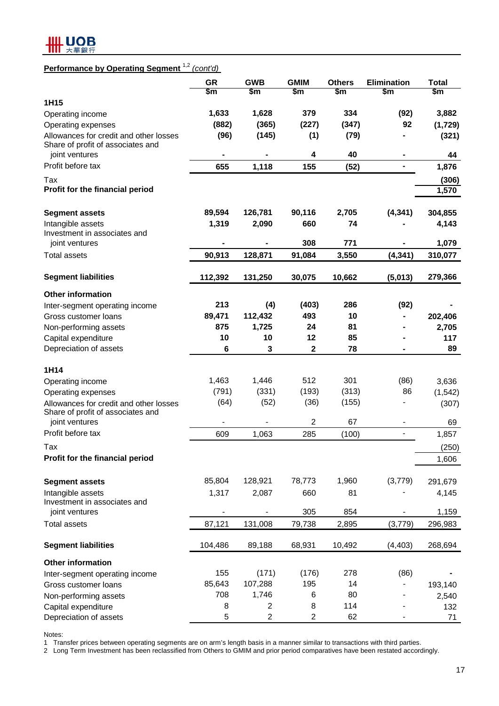

## **Performance by Operating Segment** 1,2 *(cont'd)*

|                                                     | <b>GR</b><br>\$m         | <b>GWB</b><br>$\mathsf{Sm}$ | <b>GMIM</b><br>\$m | <b>Others</b><br>\$m | <b>Elimination</b><br>\$m | <b>Total</b><br>\$m |
|-----------------------------------------------------|--------------------------|-----------------------------|--------------------|----------------------|---------------------------|---------------------|
| 1H15                                                |                          |                             |                    |                      |                           |                     |
| Operating income                                    | 1,633                    | 1,628                       | 379                | 334                  | (92)                      | 3,882               |
| Operating expenses                                  | (882)                    | (365)                       | (227)              | (347)                | 92                        | (1,729)             |
| Allowances for credit and other losses              | (96)                     | (145)                       | (1)                | (79)                 |                           | (321)               |
| Share of profit of associates and<br>joint ventures | ۰                        |                             | 4                  | 40                   |                           | 44                  |
| Profit before tax                                   | 655                      | 1,118                       | 155                | (52)                 | ۰                         | 1,876               |
| Tax                                                 |                          |                             |                    |                      |                           | (306)               |
| Profit for the financial period                     |                          |                             |                    |                      |                           | 1,570               |
| <b>Segment assets</b>                               | 89,594                   | 126,781                     | 90,116             | 2,705                | (4, 341)                  | 304,855             |
| Intangible assets                                   | 1,319                    | 2,090                       | 660                | 74                   |                           | 4,143               |
| Investment in associates and                        |                          |                             |                    |                      |                           |                     |
| joint ventures                                      |                          |                             | 308                | 771                  |                           | 1,079               |
| Total assets                                        | 90,913                   | 128,871                     | 91,084             | 3,550                | (4, 341)                  | 310,077             |
| <b>Segment liabilities</b>                          | 112,392                  | 131,250                     | 30,075             | 10,662               | (5,013)                   | 279,366             |
| <b>Other information</b>                            |                          |                             |                    |                      |                           |                     |
| Inter-segment operating income                      | 213                      | (4)                         | (403)              | 286                  | (92)                      |                     |
| Gross customer loans                                | 89,471                   | 112,432                     | 493                | 10                   |                           | 202,406             |
| Non-performing assets                               | 875                      | 1,725                       | 24                 | 81                   |                           | 2,705               |
| Capital expenditure                                 | 10                       | 10                          | 12                 | 85                   |                           | 117                 |
| Depreciation of assets                              | $6\phantom{1}6$          | $\mathbf{3}$                | $\mathbf{2}$       | 78                   |                           | 89                  |
| 1H14                                                |                          |                             |                    |                      |                           |                     |
| Operating income                                    | 1,463                    | 1,446                       | 512                | 301                  | (86)                      | 3,636               |
| Operating expenses                                  | (791)                    | (331)                       | (193)              | (313)                | 86                        | (1, 542)            |
| Allowances for credit and other losses              | (64)                     | (52)                        | (36)               | (155)                |                           | (307)               |
| Share of profit of associates and<br>joint ventures |                          |                             | $\overline{2}$     | 67                   |                           | 69                  |
| Profit before tax                                   | 609                      | 1,063                       | 285                | (100)                | $\overline{\phantom{0}}$  | 1,857               |
| Tax                                                 |                          |                             |                    |                      |                           | (250)               |
| Profit for the financial period                     |                          |                             |                    |                      |                           | 1,606               |
|                                                     |                          |                             |                    |                      |                           |                     |
| <b>Segment assets</b>                               | 85,804                   | 128,921                     | 78,773             | 1,960                | (3,779)                   | 291,679             |
| Intangible assets                                   | 1,317                    | 2,087                       | 660                | 81                   |                           | 4,145               |
| Investment in associates and<br>joint ventures      | $\overline{\phantom{0}}$ |                             | 305                | 854                  |                           | 1,159               |
| <b>Total assets</b>                                 | 87,121                   | 131,008                     | 79,738             | 2,895                | (3,779)                   | 296,983             |
| <b>Segment liabilities</b>                          | 104,486                  | 89,188                      | 68,931             | 10,492               | (4, 403)                  | 268,694             |
| <b>Other information</b>                            |                          |                             |                    |                      |                           |                     |
| Inter-segment operating income                      | 155                      | (171)                       | (176)              | 278                  | (86)                      |                     |
| Gross customer loans                                | 85,643                   | 107,288                     | 195                | 14                   |                           | 193,140             |
| Non-performing assets                               | 708                      | 1,746                       | 6                  | 80                   |                           | 2,540               |
| Capital expenditure                                 | 8                        | 2                           | 8                  | 114                  |                           | 132                 |
| Depreciation of assets                              | 5                        | $\overline{2}$              | $\overline{c}$     | 62                   |                           | 71                  |

Notes:

1 Transfer prices between operating segments are on arm's length basis in a manner similar to transactions with third parties.

2 Long Term Investment has been reclassified from Others to GMIM and prior period comparatives have been restated accordingly.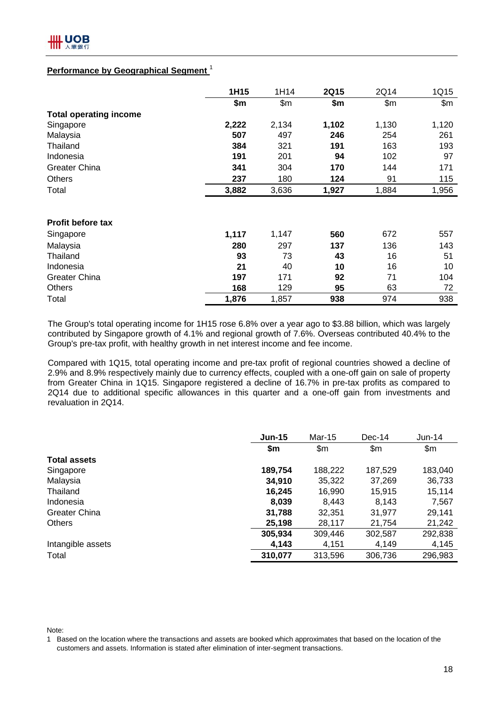## **Performance by Geographical Segment** <sup>1</sup>

|                               | 1H15  | 1H14  | <b>2Q15</b> | 2Q14  | 1Q15  |
|-------------------------------|-------|-------|-------------|-------|-------|
|                               | \$m   | \$m\$ | \$m         | \$m\$ | \$m\$ |
| <b>Total operating income</b> |       |       |             |       |       |
| Singapore                     | 2,222 | 2,134 | 1,102       | 1,130 | 1,120 |
| Malaysia                      | 507   | 497   | 246         | 254   | 261   |
| Thailand                      | 384   | 321   | 191         | 163   | 193   |
| Indonesia                     | 191   | 201   | 94          | 102   | 97    |
| <b>Greater China</b>          | 341   | 304   | 170         | 144   | 171   |
| <b>Others</b>                 | 237   | 180   | 124         | 91    | 115   |
| Total                         | 3,882 | 3,636 | 1,927       | 1,884 | 1,956 |
|                               |       |       |             |       |       |
| <b>Profit before tax</b>      |       |       |             |       |       |
| Singapore                     | 1,117 | 1,147 | 560         | 672   | 557   |
| Malaysia                      | 280   | 297   | 137         | 136   | 143   |
| Thailand                      | 93    | 73    | 43          | 16    | 51    |
| Indonesia                     | 21    | 40    | 10          | 16    | 10    |
| <b>Greater China</b>          | 197   | 171   | 92          | 71    | 104   |
| <b>Others</b>                 | 168   | 129   | 95          | 63    | 72    |
| Total                         | 1,876 | 1,857 | 938         | 974   | 938   |

The Group's total operating income for 1H15 rose 6.8% over a year ago to \$3.88 billion, which was largely contributed by Singapore growth of 4.1% and regional growth of 7.6%. Overseas contributed 40.4% to the Group's pre-tax profit, with healthy growth in net interest income and fee income.

Compared with 1Q15, total operating income and pre-tax profit of regional countries showed a decline of 2.9% and 8.9% respectively mainly due to currency effects, coupled with a one-off gain on sale of property from Greater China in 1Q15. Singapore registered a decline of 16.7% in pre-tax profits as compared to 2Q14 due to additional specific allowances in this quarter and a one-off gain from investments and revaluation in 2Q14.

|                      | $Jun-15$ | Mar-15  | $Dec-14$      | $Jun-14$      |
|----------------------|----------|---------|---------------|---------------|
|                      | \$m      | \$m     | $\mathsf{Sm}$ | $\mathsf{Sm}$ |
| <b>Total assets</b>  |          |         |               |               |
| Singapore            | 189,754  | 188,222 | 187,529       | 183,040       |
| Malaysia             | 34,910   | 35,322  | 37,269        | 36,733        |
| Thailand             | 16,245   | 16,990  | 15,915        | 15,114        |
| Indonesia            | 8,039    | 8,443   | 8,143         | 7,567         |
| <b>Greater China</b> | 31,788   | 32,351  | 31,977        | 29,141        |
| <b>Others</b>        | 25,198   | 28,117  | 21,754        | 21,242        |
|                      | 305,934  | 309,446 | 302,587       | 292,838       |
| Intangible assets    | 4,143    | 4,151   | 4,149         | 4,145         |
| Total                | 310,077  | 313,596 | 306,736       | 296,983       |

Note:

1 Based on the location where the transactions and assets are booked which approximates that based on the location of the customers and assets. Information is stated after elimination of inter-segment transactions.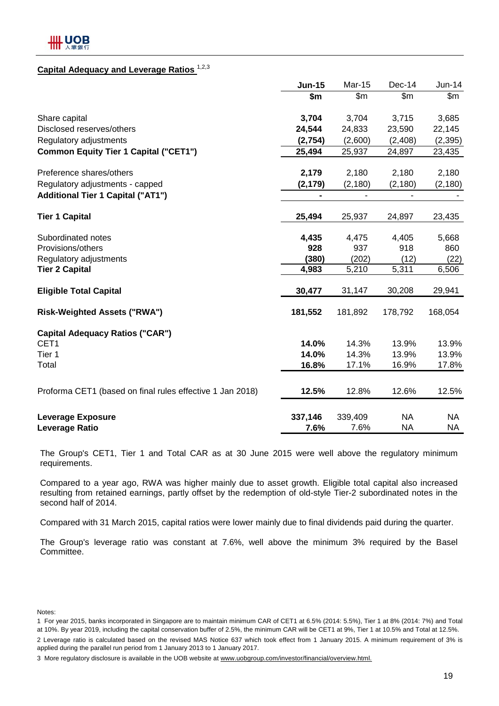## **Capital Adequacy and Leverage Ratios** 1,2,3

|                                                           | <b>Jun-15</b>  | Mar-15                       | Dec-14         | $Jun-14$  |
|-----------------------------------------------------------|----------------|------------------------------|----------------|-----------|
|                                                           | \$m            | $\mathsf{S}$ m               | \$m\$          | \$m\$     |
| Share capital                                             | 3,704          | 3,704                        | 3,715          | 3,685     |
| Disclosed reserves/others                                 | 24,544         | 24,833                       | 23,590         | 22,145    |
| Regulatory adjustments                                    | (2,754)        | (2,600)                      | (2,408)        | (2, 395)  |
| <b>Common Equity Tier 1 Capital ("CET1")</b>              | 25,494         | 25,937                       | 24,897         | 23,435    |
| Preference shares/others                                  | 2,179          | 2,180                        | 2,180          | 2,180     |
| Regulatory adjustments - capped                           | (2, 179)       | (2, 180)                     | (2, 180)       | (2, 180)  |
| <b>Additional Tier 1 Capital ("AT1")</b>                  | $\blacksquare$ | $\qquad \qquad \blacksquare$ | $\blacksquare$ |           |
| <b>Tier 1 Capital</b>                                     | 25,494         | 25,937                       | 24,897         | 23,435    |
| Subordinated notes                                        | 4,435          | 4,475                        | 4,405          | 5,668     |
| Provisions/others                                         | 928            | 937                          | 918            | 860       |
| Regulatory adjustments                                    | (380)          | (202)                        | (12)           | (22)      |
| <b>Tier 2 Capital</b>                                     | 4,983          | 5,210                        | 5,311          | 6,506     |
| <b>Eligible Total Capital</b>                             | 30,477         | 31,147                       | 30,208         | 29,941    |
| <b>Risk-Weighted Assets ("RWA")</b>                       | 181,552        | 181,892                      | 178,792        | 168,054   |
| <b>Capital Adequacy Ratios ("CAR")</b>                    |                |                              |                |           |
| CET <sub>1</sub>                                          | 14.0%          | 14.3%                        | 13.9%          | 13.9%     |
| Tier 1                                                    | 14.0%          | 14.3%                        | 13.9%          | 13.9%     |
| Total                                                     | 16.8%          | 17.1%                        | 16.9%          | 17.8%     |
| Proforma CET1 (based on final rules effective 1 Jan 2018) | 12.5%          | 12.8%                        | 12.6%          | 12.5%     |
| <b>Leverage Exposure</b>                                  | 337,146        | 339,409                      | <b>NA</b>      | NA.       |
| <b>Leverage Ratio</b>                                     | 7.6%           | 7.6%                         | <b>NA</b>      | <b>NA</b> |

The Group's CET1, Tier 1 and Total CAR as at 30 June 2015 were well above the regulatory minimum requirements.

Compared to a year ago, RWA was higher mainly due to asset growth. Eligible total capital also increased resulting from retained earnings, partly offset by the redemption of old-style Tier-2 subordinated notes in the second half of 2014.

Compared with 31 March 2015, capital ratios were lower mainly due to final dividends paid during the quarter.

The Group's leverage ratio was constant at 7.6%, well above the minimum 3% required by the Basel Committee.

Notes:

<sup>1</sup> For year 2015, banks incorporated in Singapore are to maintain minimum CAR of CET1 at 6.5% (2014: 5.5%), Tier 1 at 8% (2014: 7%) and Total at 10%. By year 2019, including the capital conservation buffer of 2.5%, the minimum CAR will be CET1 at 9%, Tier 1 at 10.5% and Total at 12.5%.

<sup>2</sup> Leverage ratio is calculated based on the revised MAS Notice 637 which took effect from 1 January 2015. A minimum requirement of 3% is applied during the parallel run period from 1 January 2013 to 1 January 2017.

<sup>3</sup> More regulatory disclosure is available in the UOB website at www.uobgroup.com/investor/financial/overview.html.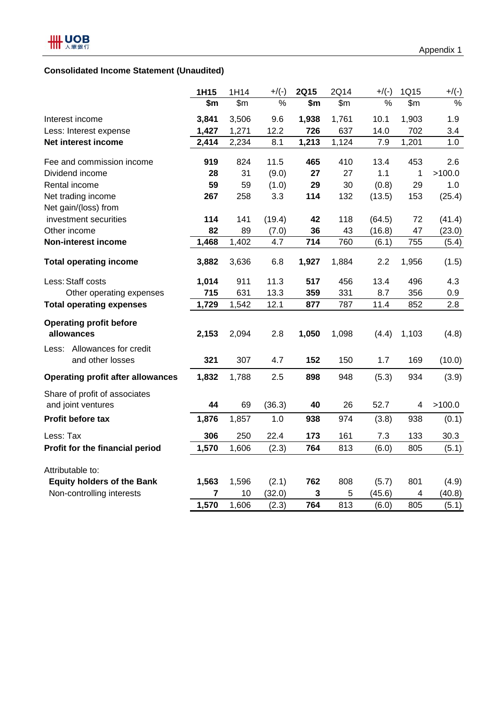## **Consolidated Income Statement (Unaudited)**

|                                                     | 1H15  | 1H14  | $+$ /(-) | <b>2Q15</b> | 2Q14  | $+$ /(-) | 1Q15  | $+/(\underline{\cdot})$ |
|-----------------------------------------------------|-------|-------|----------|-------------|-------|----------|-------|-------------------------|
|                                                     | \$m   | \$m\$ | $\%$     | \$m         | \$m\$ | $\%$     | \$m\$ | $\%$                    |
| Interest income                                     | 3,841 | 3,506 | 9.6      | 1,938       | 1,761 | 10.1     | 1,903 | 1.9                     |
| Less: Interest expense                              | 1,427 | 1,271 | 12.2     | 726         | 637   | 14.0     | 702   | 3.4                     |
| Net interest income                                 | 2,414 | 2,234 | 8.1      | 1,213       | 1,124 | 7.9      | 1,201 | 1.0                     |
| Fee and commission income                           | 919   | 824   | 11.5     | 465         | 410   | 13.4     | 453   | 2.6                     |
| Dividend income                                     | 28    | 31    | (9.0)    | 27          | 27    | 1.1      | 1     | >100.0                  |
| Rental income                                       | 59    | 59    | (1.0)    | 29          | 30    | (0.8)    | 29    | 1.0                     |
| Net trading income                                  | 267   | 258   | 3.3      | 114         | 132   | (13.5)   | 153   | (25.4)                  |
| Net gain/(loss) from                                |       |       |          |             |       |          |       |                         |
| investment securities                               | 114   | 141   | (19.4)   | 42          | 118   | (64.5)   | 72    | (41.4)                  |
| Other income                                        | 82    | 89    | (7.0)    | 36          | 43    | (16.8)   | 47    | (23.0)                  |
| <b>Non-interest income</b>                          | 1,468 | 1,402 | 4.7      | 714         | 760   | (6.1)    | 755   | (5.4)                   |
| <b>Total operating income</b>                       | 3,882 | 3,636 | 6.8      | 1,927       | 1,884 | 2.2      | 1,956 | (1.5)                   |
| Less: Staff costs                                   | 1,014 | 911   | 11.3     | 517         | 456   | 13.4     | 496   | 4.3                     |
| Other operating expenses                            | 715   | 631   | 13.3     | 359         | 331   | 8.7      | 356   | 0.9                     |
| <b>Total operating expenses</b>                     | 1,729 | 1,542 | 12.1     | 877         | 787   | 11.4     | 852   | 2.8                     |
| <b>Operating profit before</b><br>allowances        | 2,153 | 2,094 | 2.8      | 1,050       | 1,098 | (4.4)    | 1,103 | (4.8)                   |
| Less: Allowances for credit<br>and other losses     | 321   | 307   | 4.7      | 152         | 150   | 1.7      | 169   | (10.0)                  |
| <b>Operating profit after allowances</b>            | 1,832 | 1,788 | 2.5      | 898         | 948   | (5.3)    | 934   | (3.9)                   |
| Share of profit of associates<br>and joint ventures | 44    | 69    | (36.3)   | 40          | 26    | 52.7     | 4     | >100.0                  |
| Profit before tax                                   | 1,876 | 1,857 | 1.0      | 938         | 974   | (3.8)    | 938   | (0.1)                   |
| Less: Tax                                           | 306   | 250   | 22.4     | 173         | 161   | 7.3      | 133   | 30.3                    |
| Profit for the financial period                     | 1,570 | 1,606 | (2.3)    | 764         | 813   | (6.0)    | 805   | (5.1)                   |
| Attributable to:                                    |       |       |          |             |       |          |       |                         |
| <b>Equity holders of the Bank</b>                   | 1,563 | 1,596 | (2.1)    | 762         | 808   | (5.7)    | 801   | (4.9)                   |
| Non-controlling interests                           | 7     | 10    | (32.0)   | 3           | 5     | (45.6)   | 4     | (40.8)                  |
|                                                     | 1,570 | 1,606 | (2.3)    | 764         | 813   | (6.0)    | 805   | (5.1)                   |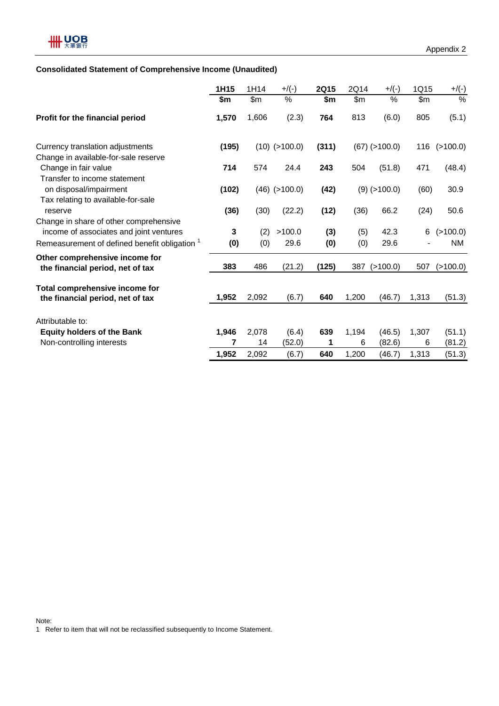## **Consolidated Statement of Comprehensive Income (Unaudited)**

|                                                                                                                                               | 1H15     | 1H14       | $+$ /(-)        | 2Q15       | 2Q14       | $+$ /(-)        | 1Q15  | $+$ /(-)              |
|-----------------------------------------------------------------------------------------------------------------------------------------------|----------|------------|-----------------|------------|------------|-----------------|-------|-----------------------|
|                                                                                                                                               | \$m      | \$m\$      | $\%$            | \$m        | \$m\$      | %               | \$m   | $\%$                  |
| Profit for the financial period                                                                                                               | 1,570    | 1,606      | (2.3)           | 764        | 813        | (6.0)           | 805   | (5.1)                 |
| Currency translation adjustments                                                                                                              | (195)    |            | $(10)$ (>100.0) | (311)      |            | $(67)$ (>100.0) | 116   | (>100.0)              |
| Change in available-for-sale reserve<br>Change in fair value<br>Transfer to income statement                                                  | 714      | 574        | 24.4            | 243        | 504        | (51.8)          | 471   | (48.4)                |
| on disposal/impairment<br>Tax relating to available-for-sale                                                                                  | (102)    |            | $(46)$ (>100.0) | (42)       |            | $(9)$ (>100.0)  | (60)  | 30.9                  |
| reserve                                                                                                                                       | (36)     | (30)       | (22.2)          | (12)       | (36)       | 66.2            | (24)  | 50.6                  |
| Change in share of other comprehensive<br>income of associates and joint ventures<br>Remeasurement of defined benefit obligation <sup>1</sup> | 3<br>(0) | (2)<br>(0) | >100.0<br>29.6  | (3)<br>(0) | (5)<br>(0) | 42.3<br>29.6    | 6     | (>100.0)<br><b>NM</b> |
| Other comprehensive income for<br>the financial period, net of tax                                                                            | 383      | 486        | (21.2)          | (125)      | 387        | (>100.0)        | 507   | (>100.0)              |
| Total comprehensive income for<br>the financial period, net of tax                                                                            | 1,952    | 2,092      | (6.7)           | 640        | 1,200      | (46.7)          | 1,313 | (51.3)                |
| Attributable to:                                                                                                                              |          |            |                 |            |            |                 |       |                       |
| <b>Equity holders of the Bank</b>                                                                                                             | 1,946    | 2,078      | (6.4)           | 639        | 1,194      | (46.5)          | 1,307 | (51.1)                |
| Non-controlling interests                                                                                                                     | 7        | 14         | (52.0)          | 1          | 6          | (82.6)          | 6     | (81.2)                |
|                                                                                                                                               | 1,952    | 2,092      | (6.7)           | 640        | 1,200      | (46.7)          | 1,313 | (51.3)                |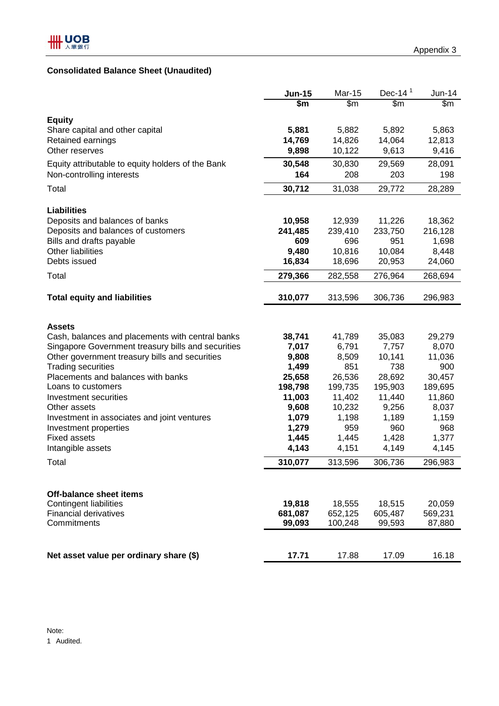## **Consolidated Balance Sheet (Unaudited)**

|                                                    | <b>Jun-15</b> | <b>Mar-15</b> | Dec-14 $1$ | Jun-14  |
|----------------------------------------------------|---------------|---------------|------------|---------|
|                                                    | \$m           | \$m\$         | \$m\$      | \$m\$   |
| <b>Equity</b>                                      |               |               |            |         |
| Share capital and other capital                    | 5,881         | 5,882         | 5,892      | 5,863   |
| Retained earnings                                  | 14,769        | 14,826        | 14,064     | 12,813  |
| Other reserves                                     | 9,898         | 10,122        | 9,613      | 9,416   |
| Equity attributable to equity holders of the Bank  | 30,548        | 30,830        | 29,569     | 28,091  |
| Non-controlling interests                          | 164           | 208           | 203        | 198     |
| Total                                              | 30,712        | 31,038        | 29,772     | 28,289  |
| <b>Liabilities</b>                                 |               |               |            |         |
| Deposits and balances of banks                     | 10,958        | 12,939        | 11,226     | 18,362  |
| Deposits and balances of customers                 | 241,485       | 239,410       | 233,750    | 216,128 |
| Bills and drafts payable                           | 609           | 696           | 951        | 1,698   |
| <b>Other liabilities</b>                           | 9,480         | 10,816        | 10,084     | 8,448   |
| Debts issued                                       | 16,834        | 18,696        | 20,953     | 24,060  |
| Total                                              | 279,366       | 282,558       | 276,964    | 268,694 |
| <b>Total equity and liabilities</b>                | 310,077       | 313,596       | 306,736    | 296,983 |
|                                                    |               |               |            |         |
| <b>Assets</b>                                      |               |               |            |         |
| Cash, balances and placements with central banks   | 38,741        | 41,789        | 35,083     | 29,279  |
| Singapore Government treasury bills and securities | 7,017         | 6,791         | 7,757      | 8,070   |
| Other government treasury bills and securities     | 9,808         | 8,509         | 10,141     | 11,036  |
| <b>Trading securities</b>                          | 1,499         | 851           | 738        | 900     |
| Placements and balances with banks                 | 25,658        | 26,536        | 28,692     | 30,457  |
| Loans to customers                                 | 198,798       | 199,735       | 195,903    | 189,695 |
| Investment securities                              | 11,003        | 11,402        | 11,440     | 11,860  |
| Other assets                                       | 9,608         | 10,232        | 9,256      | 8,037   |
| Investment in associates and joint ventures        | 1,079         | 1,198         | 1,189      | 1,159   |
| Investment properties                              | 1,279         | 959           | 960        | 968     |
| <b>Fixed assets</b>                                | 1,445         | 1,445         | 1,428      | 1,377   |
| Intangible assets                                  | 4,143         | 4,151         | 4,149      | 4,145   |
| Total                                              | 310,077       | 313,596       | 306,736    | 296,983 |
|                                                    |               |               |            |         |
| <b>Off-balance sheet items</b>                     |               |               |            |         |
| Contingent liabilities                             | 19,818        | 18,555        | 18,515     | 20,059  |
| <b>Financial derivatives</b>                       | 681,087       | 652,125       | 605,487    | 569,231 |
| Commitments                                        | 99,093        | 100,248       | 99,593     | 87,880  |
|                                                    |               |               |            |         |
| Net asset value per ordinary share (\$)            | 17.71         | 17.88         | 17.09      | 16.18   |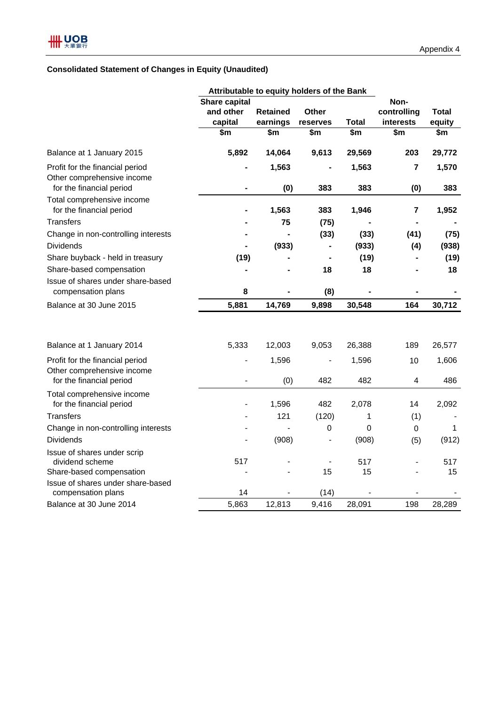## **Consolidated Statement of Changes in Equity (Unaudited)**

|                                                               | Attributable to equity holders of the Bank |                 |                          |                        |                         |             |  |  |
|---------------------------------------------------------------|--------------------------------------------|-----------------|--------------------------|------------------------|-------------------------|-------------|--|--|
|                                                               | <b>Share capital</b>                       |                 | Non-                     |                        |                         |             |  |  |
|                                                               | and other                                  | <b>Retained</b> | <b>Other</b>             |                        | controlling             | Total       |  |  |
|                                                               | capital                                    | earnings        | reserves                 | <b>Total</b>           | interests               | equity      |  |  |
|                                                               | \$m                                        | \$m             | \$m                      | $\overline{\text{sm}}$ | \$m                     | \$m         |  |  |
| Balance at 1 January 2015                                     | 5,892                                      | 14,064          | 9,613                    | 29,569                 | 203                     | 29,772      |  |  |
| Profit for the financial period<br>Other comprehensive income |                                            | 1,563           |                          | 1,563                  | 7                       | 1,570       |  |  |
| for the financial period                                      |                                            | (0)             | 383                      | 383                    | (0)                     | 383         |  |  |
| Total comprehensive income<br>for the financial period        |                                            | 1,563           | 383                      | 1,946                  | $\overline{\mathbf{r}}$ | 1,952       |  |  |
| <b>Transfers</b>                                              |                                            | 75              | (75)                     |                        |                         |             |  |  |
| Change in non-controlling interests                           |                                            |                 | (33)                     | (33)                   | (41)                    | (75)        |  |  |
| <b>Dividends</b>                                              |                                            | (933)           |                          | (933)                  | (4)                     | (938)       |  |  |
| Share buyback - held in treasury                              | (19)                                       |                 |                          | (19)                   |                         | (19)        |  |  |
| Share-based compensation                                      |                                            |                 | 18                       | 18                     |                         | 18          |  |  |
| Issue of shares under share-based                             |                                            |                 |                          |                        |                         |             |  |  |
| compensation plans                                            | 8                                          |                 | (8)                      |                        |                         |             |  |  |
| Balance at 30 June 2015                                       | 5,881                                      | 14,769          | 9,898                    | 30,548                 | 164                     | 30,712      |  |  |
|                                                               |                                            |                 |                          |                        |                         |             |  |  |
| Balance at 1 January 2014                                     | 5,333                                      | 12,003          | 9,053                    | 26,388                 | 189                     | 26,577      |  |  |
| Profit for the financial period                               |                                            | 1,596           |                          | 1,596                  | 10                      | 1,606       |  |  |
| Other comprehensive income                                    |                                            |                 |                          |                        |                         |             |  |  |
| for the financial period                                      |                                            | (0)             | 482                      | 482                    | 4                       | 486         |  |  |
| Total comprehensive income<br>for the financial period        |                                            | 1,596           | 482                      | 2,078                  | 14                      | 2,092       |  |  |
| <b>Transfers</b>                                              |                                            | 121             | (120)                    | 1                      | (1)                     |             |  |  |
| Change in non-controlling interests                           |                                            |                 | $\mathbf 0$              | 0                      | $\mathbf 0$             | $\mathbf 1$ |  |  |
| <b>Dividends</b>                                              |                                            | (908)           | $\overline{\phantom{a}}$ | (908)                  | (5)                     | (912)       |  |  |
| Issue of shares under scrip                                   |                                            |                 |                          |                        |                         |             |  |  |
| dividend scheme                                               | 517                                        |                 | $\overline{\phantom{0}}$ | 517                    |                         | 517         |  |  |
| Share-based compensation                                      |                                            |                 | 15                       | 15                     |                         | 15          |  |  |
| Issue of shares under share-based                             |                                            |                 |                          |                        |                         |             |  |  |
| compensation plans                                            | 14                                         |                 | (14)                     |                        |                         |             |  |  |
| Balance at 30 June 2014                                       | 5,863                                      | 12,813          | 9,416                    | 28,091                 | 198                     | 28,289      |  |  |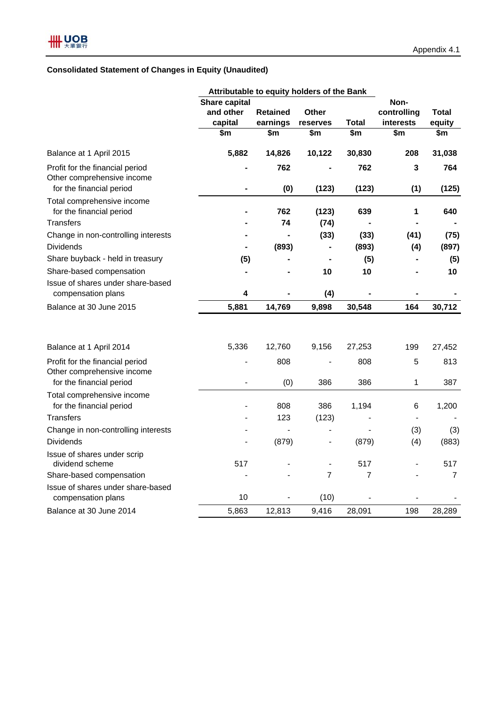## **Consolidated Statement of Changes in Equity (Unaudited)**

|                                                                                           | Attributable to equity holders of the Bank |                 |                          |                |                     |              |
|-------------------------------------------------------------------------------------------|--------------------------------------------|-----------------|--------------------------|----------------|---------------------|--------------|
|                                                                                           | <b>Share capital</b><br>and other          | <b>Retained</b> | <b>Other</b>             |                | Non-<br>controlling | <b>Total</b> |
|                                                                                           | capital                                    | earnings        | reserves                 | <b>Total</b>   | interests           | equity       |
|                                                                                           | \$m                                        | \$m             | \$m                      | \$m            | \$m                 | \$m          |
| Balance at 1 April 2015                                                                   | 5,882                                      | 14,826          | 10,122                   | 30,830         | 208                 | 31,038       |
| Profit for the financial period<br>Other comprehensive income<br>for the financial period | ۰                                          | 762<br>(0)      | (123)                    | 762<br>(123)   | 3<br>(1)            | 764<br>(125) |
|                                                                                           |                                            |                 |                          |                |                     |              |
| Total comprehensive income<br>for the financial period                                    |                                            | 762             | (123)                    | 639            | 1                   | 640          |
| Transfers                                                                                 |                                            | 74              | (74)                     |                |                     |              |
| Change in non-controlling interests                                                       |                                            |                 | (33)                     | (33)           | (41)                | (75)         |
| <b>Dividends</b>                                                                          |                                            | (893)           | $\blacksquare$           | (893)          | (4)                 | (897)        |
| Share buyback - held in treasury                                                          | (5)                                        |                 |                          | (5)            |                     | (5)          |
| Share-based compensation                                                                  |                                            |                 | 10                       | 10             |                     | 10           |
| Issue of shares under share-based<br>compensation plans                                   | 4                                          |                 | (4)                      |                |                     |              |
| Balance at 30 June 2015                                                                   | 5,881                                      | 14,769          | 9,898                    | 30,548         | 164                 | 30,712       |
|                                                                                           |                                            |                 |                          |                |                     |              |
| Balance at 1 April 2014                                                                   | 5,336                                      | 12,760          | 9,156                    | 27,253         | 199                 | 27,452       |
| Profit for the financial period<br>Other comprehensive income                             |                                            | 808             |                          | 808            | 5                   | 813          |
| for the financial period                                                                  | $\overline{\phantom{0}}$                   | (0)             | 386                      | 386            | 1                   | 387          |
| Total comprehensive income<br>for the financial period                                    |                                            | 808             | 386                      | 1,194          | 6                   | 1,200        |
| Transfers                                                                                 |                                            | 123             | (123)                    |                |                     |              |
| Change in non-controlling interests                                                       |                                            |                 | $\blacksquare$           |                | (3)                 | (3)          |
| <b>Dividends</b>                                                                          | $\overline{a}$                             | (879)           | $\blacksquare$           | (879)          | (4)                 | (883)        |
| Issue of shares under scrip<br>dividend scheme                                            | 517                                        |                 | $\overline{\phantom{a}}$ | 517            |                     | 517          |
| Share-based compensation                                                                  |                                            |                 | $\overline{7}$           | $\overline{7}$ |                     | 7            |
| Issue of shares under share-based<br>compensation plans                                   | 10                                         |                 | (10)                     |                |                     |              |
| Balance at 30 June 2014                                                                   | 5,863                                      | 12,813          | 9,416                    | 28,091         | 198                 | 28,289       |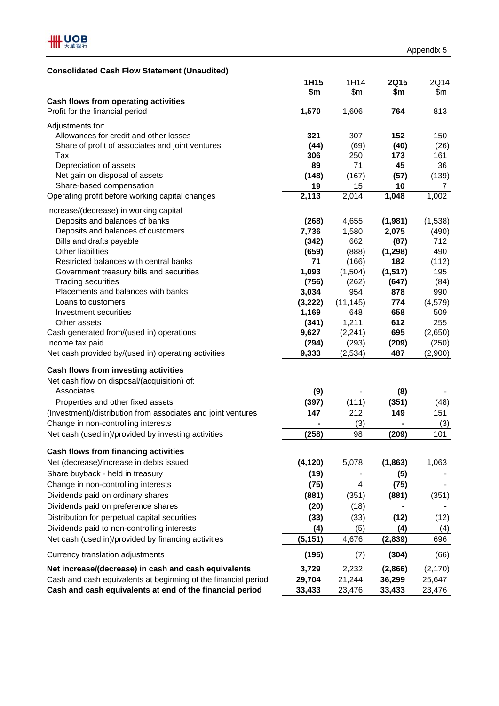## **Consolidated Cash Flow Statement (Unaudited)**

|                                                                | 1H15     | 1H14             | <b>2Q15</b>  | 2Q14             |
|----------------------------------------------------------------|----------|------------------|--------------|------------------|
|                                                                | \$m      | $\overline{\$m}$ | \$m          | $\overline{\$m}$ |
| Cash flows from operating activities                           |          |                  |              |                  |
| Profit for the financial period                                | 1,570    | 1,606            | 764          | 813              |
| Adjustments for:                                               |          |                  |              |                  |
| Allowances for credit and other losses                         | 321      | 307              | 152          | 150              |
| Share of profit of associates and joint ventures               | (44)     | (69)             | (40)         | (26)             |
| Tax                                                            | 306      | 250              | 173          | 161              |
| Depreciation of assets                                         | 89       | 71               | 45           | 36               |
| Net gain on disposal of assets                                 | (148)    | (167)            | (57)         | (139)            |
| Share-based compensation                                       | 19       | 15               | 10           | 7                |
| Operating profit before working capital changes                | 2,113    | 2,014            | 1,048        | 1,002            |
| Increase/(decrease) in working capital                         |          |                  |              |                  |
| Deposits and balances of banks                                 | (268)    | 4,655            | (1,981)      | (1,538)          |
| Deposits and balances of customers                             | 7,736    | 1,580            | 2,075        | (490)            |
| Bills and drafts payable                                       | (342)    | 662              | (87)         | 712              |
| <b>Other liabilities</b>                                       | (659)    | (888)            | (1, 298)     | 490              |
| Restricted balances with central banks                         | 71       | (166)            | 182          | (112)            |
| Government treasury bills and securities                       | 1,093    | (1,504)          | (1, 517)     | 195              |
| <b>Trading securities</b>                                      | (756)    | (262)            | (647)        | (84)             |
| Placements and balances with banks                             | 3,034    | 954              | 878          | 990              |
| Loans to customers                                             | (3,222)  | (11, 145)        | 774          | (4, 579)         |
| Investment securities                                          | 1,169    | 648              | 658          | 509              |
| Other assets                                                   | (341)    | 1,211            | 612          | 255              |
| Cash generated from/(used in) operations                       | 9,627    | (2, 241)         | 695          | (2,650)          |
| Income tax paid                                                | (294)    | (293)            | (209)<br>487 | (250)            |
| Net cash provided by/(used in) operating activities            | 9,333    | (2,534)          |              | (2,900)          |
| Cash flows from investing activities                           |          |                  |              |                  |
| Net cash flow on disposal/(acquisition) of:                    |          |                  |              |                  |
| Associates                                                     | (9)      |                  | (8)          |                  |
| Properties and other fixed assets                              | (397)    | (111)            | (351)        | (48)             |
| (Investment)/distribution from associates and joint ventures   | 147      | 212              | 149          | 151              |
| Change in non-controlling interests                            |          | (3)              |              | (3)              |
| Net cash (used in)/provided by investing activities            | (258)    | 98               | (209)        | 101              |
|                                                                |          |                  |              |                  |
| Cash flows from financing activities                           |          |                  |              |                  |
| Net (decrease)/increase in debts issued                        | (4, 120) | 5,078            | (1, 863)     | 1,063            |
| Share buyback - held in treasury                               | (19)     |                  | (5)          |                  |
| Change in non-controlling interests                            | (75)     | 4                | (75)         |                  |
| Dividends paid on ordinary shares                              | (881)    | (351)            | (881)        | (351)            |
| Dividends paid on preference shares                            | (20)     | (18)             |              |                  |
| Distribution for perpetual capital securities                  | (33)     | (33)             | (12)         | (12)             |
| Dividends paid to non-controlling interests                    | (4)      | (5)              | (4)          | (4)              |
| Net cash (used in)/provided by financing activities            | (5, 151) | 4,676            | (2,839)      | 696              |
| Currency translation adjustments                               | (195)    | (7)              | (304)        | (66)             |
| Net increase/(decrease) in cash and cash equivalents           | 3,729    | 2,232            | (2,866)      | (2, 170)         |
| Cash and cash equivalents at beginning of the financial period | 29,704   | 21,244           | 36,299       | 25,647           |
| Cash and cash equivalents at end of the financial period       | 33,433   | 23,476           | 33,433       | 23,476           |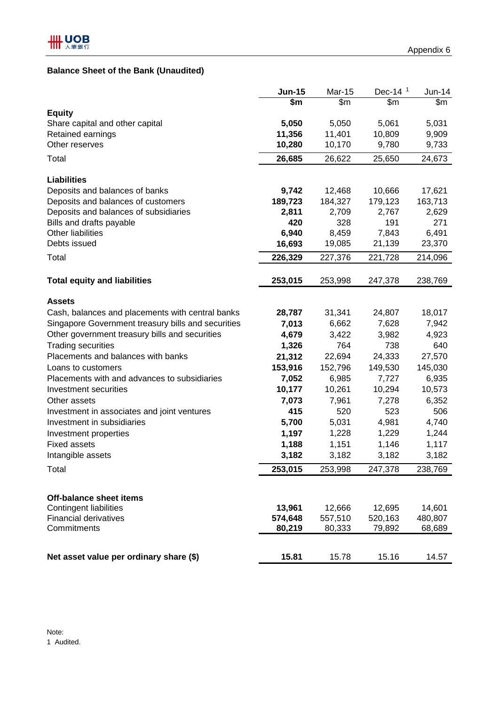## **Balance Sheet of the Bank (Unaudited)**

|                                                               | <b>Jun-15</b>     | <b>Mar-15</b>     | Dec-14 <sup>1</sup> | $Jun-14$          |
|---------------------------------------------------------------|-------------------|-------------------|---------------------|-------------------|
|                                                               | \$m               | $\overline{\$m}$  | $\overline{\$m}$    | $\overline{\$m}$  |
| <b>Equity</b>                                                 |                   |                   |                     |                   |
| Share capital and other capital                               | 5,050             | 5,050             | 5,061               | 5,031             |
| Retained earnings                                             | 11,356            | 11,401            | 10,809              | 9,909             |
| Other reserves                                                | 10,280            | 10,170            | 9,780               | 9,733             |
| Total                                                         | 26,685            | 26,622            | 25,650              | 24,673            |
| <b>Liabilities</b>                                            |                   |                   |                     |                   |
| Deposits and balances of banks                                | 9,742             | 12,468            | 10,666              | 17,621            |
| Deposits and balances of customers                            | 189,723           | 184,327           | 179,123             | 163,713           |
| Deposits and balances of subsidiaries                         | 2,811             | 2,709             | 2,767               | 2,629             |
| Bills and drafts payable                                      | 420               | 328               | 191                 | 271               |
| <b>Other liabilities</b>                                      | 6,940             | 8,459             | 7,843               | 6,491             |
| Debts issued                                                  | 16,693            | 19,085            | 21,139              | 23,370            |
| Total                                                         | 226,329           | 227,376           | 221,728             | 214,096           |
| <b>Total equity and liabilities</b>                           | 253,015           | 253,998           | 247,378             | 238,769           |
| <b>Assets</b>                                                 |                   |                   |                     |                   |
| Cash, balances and placements with central banks              | 28,787            | 31,341            | 24,807              | 18,017            |
| Singapore Government treasury bills and securities            | 7,013             | 6,662             | 7,628               | 7,942             |
| Other government treasury bills and securities                | 4,679             | 3,422             | 3,982               | 4,923             |
| <b>Trading securities</b>                                     | 1,326             | 764               | 738                 | 640               |
| Placements and balances with banks                            | 21,312            | 22,694            | 24,333              | 27,570            |
| Loans to customers                                            | 153,916           | 152,796           | 149,530             | 145,030           |
| Placements with and advances to subsidiaries                  | 7,052             | 6,985             | 7,727               | 6,935             |
| Investment securities                                         | 10,177            | 10,261            | 10,294              | 10,573            |
| Other assets                                                  | 7,073             | 7,961             | 7,278               | 6,352             |
| Investment in associates and joint ventures                   | 415               | 520               | 523                 | 506               |
| Investment in subsidiaries                                    | 5,700             | 5,031             | 4,981               | 4,740             |
| Investment properties                                         | 1,197             | 1,228             | 1,229               | 1,244             |
| <b>Fixed assets</b>                                           | 1,188             | 1,151             | 1,146               | 1,117             |
| Intangible assets                                             | 3,182             | 3,182             | 3,182               | 3,182             |
| Total                                                         | 253,015           | 253,998           | 247,378             | 238,769           |
|                                                               |                   |                   |                     |                   |
| <b>Off-balance sheet items</b>                                |                   |                   |                     |                   |
| <b>Contingent liabilities</b><br><b>Financial derivatives</b> | 13,961<br>574,648 | 12,666            | 12,695              | 14,601            |
| Commitments                                                   | 80,219            | 557,510<br>80,333 | 520,163<br>79,892   | 480,807<br>68,689 |
|                                                               |                   |                   |                     |                   |
| Net asset value per ordinary share (\$)                       | 15.81             | 15.78             | 15.16               | 14.57             |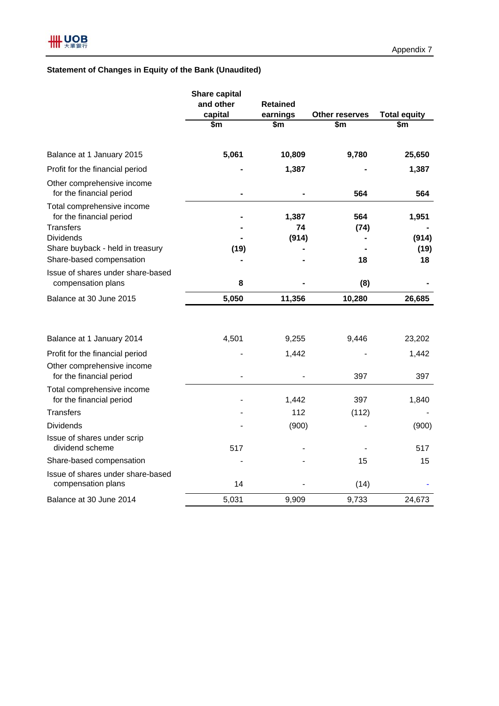## **Statement of Changes in Equity of the Bank (Unaudited)**

|                                                                            | <b>Share capital</b><br>and other<br>capital | <b>Retained</b><br>earnings | <b>Other reserves</b> | <b>Total equity</b> |
|----------------------------------------------------------------------------|----------------------------------------------|-----------------------------|-----------------------|---------------------|
|                                                                            | \$m                                          | \$m                         | \$m                   | \$m                 |
| Balance at 1 January 2015                                                  | 5,061                                        | 10,809                      | 9,780                 | 25,650              |
| Profit for the financial period                                            |                                              | 1,387                       |                       | 1,387               |
| Other comprehensive income<br>for the financial period                     |                                              |                             | 564                   | 564                 |
| Total comprehensive income<br>for the financial period<br><b>Transfers</b> |                                              | 1,387<br>74                 | 564<br>(74)           | 1,951               |
| <b>Dividends</b>                                                           |                                              | (914)                       |                       | (914)               |
| Share buyback - held in treasury<br>Share-based compensation               | (19)                                         |                             | 18                    | (19)<br>18          |
| Issue of shares under share-based<br>compensation plans                    | 8                                            |                             | (8)                   |                     |
| Balance at 30 June 2015                                                    | 5,050                                        | 11,356                      | 10,280                | 26,685              |
| Balance at 1 January 2014                                                  | 4,501                                        | 9,255                       | 9,446                 | 23,202              |
| Profit for the financial period                                            |                                              | 1,442                       |                       | 1,442               |
| Other comprehensive income<br>for the financial period                     |                                              |                             | 397                   | 397                 |
| Total comprehensive income<br>for the financial period                     |                                              | 1,442                       | 397                   | 1,840               |
| Transfers                                                                  |                                              | 112                         | (112)                 |                     |
| <b>Dividends</b>                                                           |                                              | (900)                       |                       | (900)               |
| Issue of shares under scrip<br>dividend scheme                             | 517                                          |                             |                       | 517                 |
| Share-based compensation                                                   |                                              |                             | 15                    | 15                  |
| Issue of shares under share-based<br>compensation plans                    | 14                                           |                             | (14)                  |                     |
| Balance at 30 June 2014                                                    | 5,031                                        | 9,909                       | 9,733                 | 24,673              |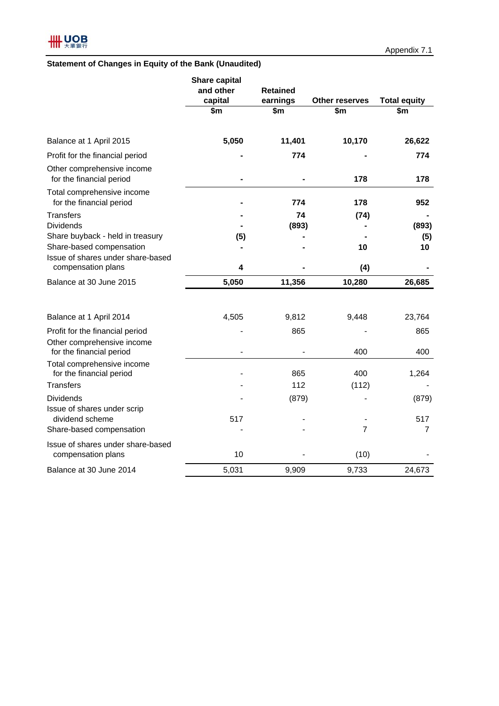## **Statement of Changes in Equity of the Bank (Unaudited)**

|                                                              | <b>Share capital</b><br>and other | <b>Retained</b> |                              |                            |
|--------------------------------------------------------------|-----------------------------------|-----------------|------------------------------|----------------------------|
|                                                              | capital<br>\$m                    | earnings<br>\$m | <b>Other reserves</b><br>\$m | <b>Total equity</b><br>\$m |
| Balance at 1 April 2015                                      | 5,050                             | 11,401          | 10,170                       | 26,622                     |
| Profit for the financial period                              |                                   | 774             |                              | 774                        |
| Other comprehensive income<br>for the financial period       |                                   |                 | 178                          | 178                        |
| Total comprehensive income<br>for the financial period       |                                   | 774             | 178                          | 952                        |
| <b>Transfers</b>                                             |                                   | 74              | (74)                         |                            |
| <b>Dividends</b>                                             |                                   | (893)           |                              | (893)                      |
| Share buyback - held in treasury<br>Share-based compensation | (5)                               |                 | 10                           | (5)<br>10                  |
| Issue of shares under share-based<br>compensation plans      | 4                                 |                 | (4)                          |                            |
| Balance at 30 June 2015                                      | 5,050                             | 11,356          | 10,280                       | 26,685                     |
|                                                              |                                   |                 |                              |                            |
| Balance at 1 April 2014                                      | 4,505                             | 9,812           | 9,448                        | 23,764                     |
| Profit for the financial period                              |                                   | 865             |                              | 865                        |
| Other comprehensive income<br>for the financial period       |                                   |                 | 400                          | 400                        |
| Total comprehensive income<br>for the financial period       |                                   | 865             | 400                          | 1,264                      |
| <b>Transfers</b>                                             |                                   | 112             | (112)                        |                            |
| <b>Dividends</b><br>Issue of shares under scrip              |                                   | (879)           |                              | (879)                      |
| dividend scheme                                              | 517                               |                 |                              | 517                        |
| Share-based compensation                                     |                                   |                 | $\overline{7}$               | 7                          |
| Issue of shares under share-based<br>compensation plans      | 10                                |                 | (10)                         |                            |
| Balance at 30 June 2014                                      | 5,031                             | 9,909           | 9,733                        | 24,673                     |